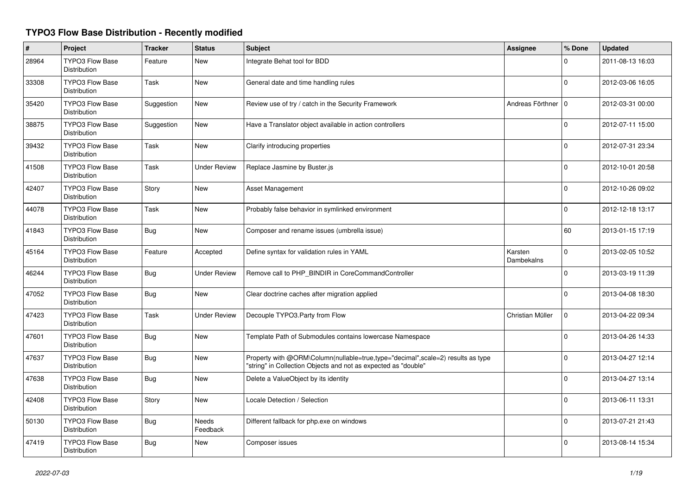## **TYPO3 Flow Base Distribution - Recently modified**

| $\#$  | Project                                       | <b>Tracker</b> | <b>Status</b>       | <b>Subject</b>                                                                                                                                    | Assignee              | % Done   | <b>Updated</b>   |
|-------|-----------------------------------------------|----------------|---------------------|---------------------------------------------------------------------------------------------------------------------------------------------------|-----------------------|----------|------------------|
| 28964 | <b>TYPO3 Flow Base</b><br><b>Distribution</b> | Feature        | New                 | Integrate Behat tool for BDD                                                                                                                      |                       | 0        | 2011-08-13 16:03 |
| 33308 | <b>TYPO3 Flow Base</b><br><b>Distribution</b> | Task           | <b>New</b>          | General date and time handling rules                                                                                                              |                       | $\Omega$ | 2012-03-06 16:05 |
| 35420 | <b>TYPO3 Flow Base</b><br><b>Distribution</b> | Suggestion     | New                 | Review use of try / catch in the Security Framework                                                                                               | Andreas Förthner      | $\Omega$ | 2012-03-31 00:00 |
| 38875 | <b>TYPO3 Flow Base</b><br><b>Distribution</b> | Suggestion     | <b>New</b>          | Have a Translator object available in action controllers                                                                                          |                       | $\Omega$ | 2012-07-11 15:00 |
| 39432 | <b>TYPO3 Flow Base</b><br>Distribution        | Task           | <b>New</b>          | Clarify introducing properties                                                                                                                    |                       | $\Omega$ | 2012-07-31 23:34 |
| 41508 | <b>TYPO3 Flow Base</b><br>Distribution        | Task           | <b>Under Review</b> | Replace Jasmine by Buster.js                                                                                                                      |                       | 0        | 2012-10-01 20:58 |
| 42407 | <b>TYPO3 Flow Base</b><br>Distribution        | Story          | <b>New</b>          | Asset Management                                                                                                                                  |                       | 0        | 2012-10-26 09:02 |
| 44078 | <b>TYPO3 Flow Base</b><br>Distribution        | Task           | New                 | Probably false behavior in symlinked environment                                                                                                  |                       | 0        | 2012-12-18 13:17 |
| 41843 | <b>TYPO3 Flow Base</b><br><b>Distribution</b> | Bug            | <b>New</b>          | Composer and rename issues (umbrella issue)                                                                                                       |                       | 60       | 2013-01-15 17:19 |
| 45164 | <b>TYPO3 Flow Base</b><br>Distribution        | Feature        | Accepted            | Define syntax for validation rules in YAML                                                                                                        | Karsten<br>Dambekalns | $\Omega$ | 2013-02-05 10:52 |
| 46244 | <b>TYPO3 Flow Base</b><br><b>Distribution</b> | <b>Bug</b>     | <b>Under Review</b> | Remove call to PHP_BINDIR in CoreCommandController                                                                                                |                       | 0        | 2013-03-19 11:39 |
| 47052 | TYPO3 Flow Base<br>Distribution               | <b>Bug</b>     | New                 | Clear doctrine caches after migration applied                                                                                                     |                       | $\Omega$ | 2013-04-08 18:30 |
| 47423 | <b>TYPO3 Flow Base</b><br><b>Distribution</b> | Task           | <b>Under Review</b> | Decouple TYPO3.Party from Flow                                                                                                                    | Christian Müller      | 0        | 2013-04-22 09:34 |
| 47601 | <b>TYPO3 Flow Base</b><br><b>Distribution</b> | <b>Bug</b>     | New                 | Template Path of Submodules contains lowercase Namespace                                                                                          |                       | $\Omega$ | 2013-04-26 14:33 |
| 47637 | <b>TYPO3 Flow Base</b><br>Distribution        | Bug            | New                 | Property with @ORM\Column(nullable=true,type="decimal",scale=2) results as type<br>"string" in Collection Objects and not as expected as "double" |                       | $\Omega$ | 2013-04-27 12:14 |
| 47638 | <b>TYPO3 Flow Base</b><br><b>Distribution</b> | <b>Bug</b>     | New                 | Delete a ValueObject by its identity                                                                                                              |                       | $\Omega$ | 2013-04-27 13:14 |
| 42408 | <b>TYPO3 Flow Base</b><br><b>Distribution</b> | Story          | <b>New</b>          | Locale Detection / Selection                                                                                                                      |                       | $\Omega$ | 2013-06-11 13:31 |
| 50130 | TYPO3 Flow Base<br>Distribution               | <b>Bug</b>     | Needs<br>Feedback   | Different fallback for php.exe on windows                                                                                                         |                       | $\Omega$ | 2013-07-21 21:43 |
| 47419 | <b>TYPO3 Flow Base</b><br><b>Distribution</b> | Bug            | <b>New</b>          | Composer issues                                                                                                                                   |                       | 0        | 2013-08-14 15:34 |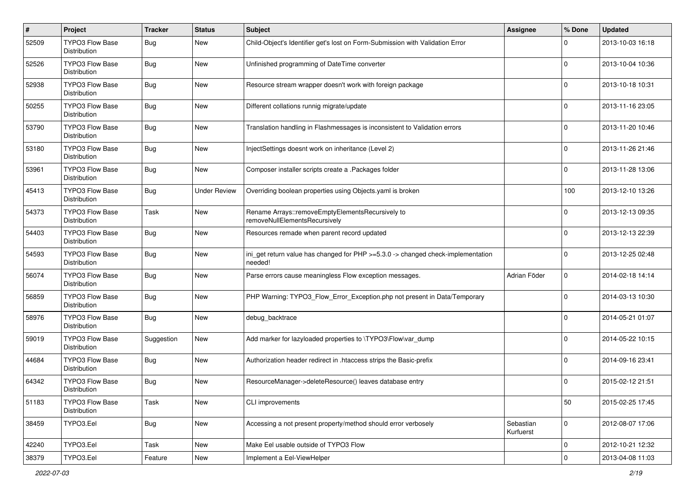| $\#$  | Project                                       | <b>Tracker</b> | <b>Status</b>       | <b>Subject</b>                                                                              | <b>Assignee</b>        | % Done         | <b>Updated</b>   |
|-------|-----------------------------------------------|----------------|---------------------|---------------------------------------------------------------------------------------------|------------------------|----------------|------------------|
| 52509 | TYPO3 Flow Base<br>Distribution               | <b>Bug</b>     | New                 | Child-Object's Identifier get's lost on Form-Submission with Validation Error               |                        | 0              | 2013-10-03 16:18 |
| 52526 | <b>TYPO3 Flow Base</b><br>Distribution        | <b>Bug</b>     | New                 | Unfinished programming of DateTime converter                                                |                        | 0              | 2013-10-04 10:36 |
| 52938 | <b>TYPO3 Flow Base</b><br>Distribution        | <b>Bug</b>     | New                 | Resource stream wrapper doesn't work with foreign package                                   |                        | 0              | 2013-10-18 10:31 |
| 50255 | <b>TYPO3 Flow Base</b><br><b>Distribution</b> | <b>Bug</b>     | New                 | Different collations runnig migrate/update                                                  |                        | 0              | 2013-11-16 23:05 |
| 53790 | TYPO3 Flow Base<br>Distribution               | <b>Bug</b>     | New                 | Translation handling in Flashmessages is inconsistent to Validation errors                  |                        | 0              | 2013-11-20 10:46 |
| 53180 | <b>TYPO3 Flow Base</b><br>Distribution        | <b>Bug</b>     | New                 | InjectSettings doesnt work on inheritance (Level 2)                                         |                        | $\Omega$       | 2013-11-26 21:46 |
| 53961 | TYPO3 Flow Base<br>Distribution               | <b>Bug</b>     | New                 | Composer installer scripts create a .Packages folder                                        |                        | 0              | 2013-11-28 13:06 |
| 45413 | TYPO3 Flow Base<br>Distribution               | <b>Bug</b>     | <b>Under Review</b> | Overriding boolean properties using Objects.yaml is broken                                  |                        | 100            | 2013-12-10 13:26 |
| 54373 | TYPO3 Flow Base<br>Distribution               | Task           | New                 | Rename Arrays::removeEmptyElementsRecursively to<br>removeNullElementsRecursively           |                        | 0              | 2013-12-13 09:35 |
| 54403 | TYPO3 Flow Base<br>Distribution               | <b>Bug</b>     | New                 | Resources remade when parent record updated                                                 |                        | 0              | 2013-12-13 22:39 |
| 54593 | <b>TYPO3 Flow Base</b><br>Distribution        | <b>Bug</b>     | New                 | ini_get return value has changed for PHP >=5.3.0 -> changed check-implementation<br>needed! |                        | $\Omega$       | 2013-12-25 02:48 |
| 56074 | <b>TYPO3 Flow Base</b><br><b>Distribution</b> | <b>Bug</b>     | New                 | Parse errors cause meaningless Flow exception messages.                                     | Adrian Föder           | 0              | 2014-02-18 14:14 |
| 56859 | <b>TYPO3 Flow Base</b><br>Distribution        | <b>Bug</b>     | New                 | PHP Warning: TYPO3 Flow Error Exception.php not present in Data/Temporary                   |                        | 0              | 2014-03-13 10:30 |
| 58976 | TYPO3 Flow Base<br>Distribution               | <b>Bug</b>     | New                 | debug_backtrace                                                                             |                        | 0              | 2014-05-21 01:07 |
| 59019 | <b>TYPO3 Flow Base</b><br>Distribution        | Suggestion     | New                 | Add marker for lazyloaded properties to \TYPO3\Flow\var_dump                                |                        | $\Omega$       | 2014-05-22 10:15 |
| 44684 | TYPO3 Flow Base<br>Distribution               | <b>Bug</b>     | New                 | Authorization header redirect in .htaccess strips the Basic-prefix                          |                        | 0              | 2014-09-16 23:41 |
| 64342 | <b>TYPO3 Flow Base</b><br>Distribution        | <b>Bug</b>     | New                 | ResourceManager->deleteResource() leaves database entry                                     |                        | $\Omega$       | 2015-02-12 21:51 |
| 51183 | <b>TYPO3 Flow Base</b><br>Distribution        | Task           | New                 | CLI improvements                                                                            |                        | 50             | 2015-02-25 17:45 |
| 38459 | TYPO3.Eel                                     | Bug            | New                 | Accessing a not present property/method should error verbosely                              | Sebastian<br>Kurfuerst | $\overline{0}$ | 2012-08-07 17:06 |
| 42240 | TYPO3.Eel                                     | Task           | New                 | Make Eel usable outside of TYPO3 Flow                                                       |                        | $\mathbf 0$    | 2012-10-21 12:32 |
| 38379 | TYPO3.Eel                                     | Feature        | New                 | Implement a Eel-ViewHelper                                                                  |                        | $\mathbf 0$    | 2013-04-08 11:03 |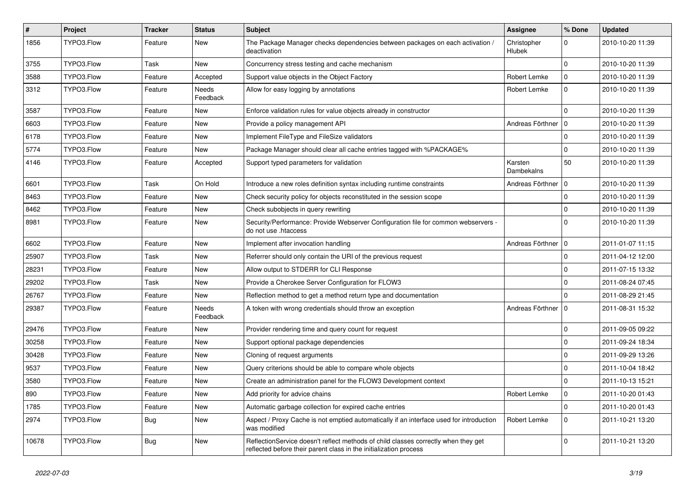| $\vert$ # | <b>Project</b> | <b>Tracker</b> | <b>Status</b>     | <b>Subject</b>                                                                                                                                          | Assignee                     | % Done      | <b>Updated</b>   |
|-----------|----------------|----------------|-------------------|---------------------------------------------------------------------------------------------------------------------------------------------------------|------------------------------|-------------|------------------|
| 1856      | TYPO3.Flow     | Feature        | New               | The Package Manager checks dependencies between packages on each activation /<br>deactivation                                                           | Christopher<br><b>Hlubek</b> | $\Omega$    | 2010-10-20 11:39 |
| 3755      | TYPO3.Flow     | Task           | New               | Concurrency stress testing and cache mechanism                                                                                                          |                              | $\Omega$    | 2010-10-20 11:39 |
| 3588      | TYPO3.Flow     | Feature        | Accepted          | Support value objects in the Object Factory                                                                                                             | Robert Lemke                 | $\mathbf 0$ | 2010-10-20 11:39 |
| 3312      | TYPO3.Flow     | Feature        | Needs<br>Feedback | Allow for easy logging by annotations                                                                                                                   | Robert Lemke                 | $\Omega$    | 2010-10-20 11:39 |
| 3587      | TYPO3.Flow     | Feature        | New               | Enforce validation rules for value objects already in constructor                                                                                       |                              | $\Omega$    | 2010-10-20 11:39 |
| 6603      | TYPO3.Flow     | Feature        | New               | Provide a policy management API                                                                                                                         | Andreas Förthner             | 10          | 2010-10-20 11:39 |
| 6178      | TYPO3.Flow     | Feature        | New               | Implement FileType and FileSize validators                                                                                                              |                              | $\Omega$    | 2010-10-20 11:39 |
| 5774      | TYPO3.Flow     | Feature        | New               | Package Manager should clear all cache entries tagged with %PACKAGE%                                                                                    |                              | $\Omega$    | 2010-10-20 11:39 |
| 4146      | TYPO3.Flow     | Feature        | Accepted          | Support typed parameters for validation                                                                                                                 | Karsten<br>Dambekalns        | 50          | 2010-10-20 11:39 |
| 6601      | TYPO3.Flow     | Task           | On Hold           | Introduce a new roles definition syntax including runtime constraints                                                                                   | Andreas Förthner             | 10          | 2010-10-20 11:39 |
| 8463      | TYPO3.Flow     | Feature        | New               | Check security policy for objects reconstituted in the session scope                                                                                    |                              | $\Omega$    | 2010-10-20 11:39 |
| 8462      | TYPO3.Flow     | Feature        | New               | Check subobjects in query rewriting                                                                                                                     |                              | $\Omega$    | 2010-10-20 11:39 |
| 8981      | TYPO3.Flow     | Feature        | New               | Security/Performance: Provide Webserver Configuration file for common webservers -<br>do not use .htaccess                                              |                              | $\Omega$    | 2010-10-20 11:39 |
| 6602      | TYPO3.Flow     | Feature        | New               | Implement after invocation handling                                                                                                                     | Andreas Förthner   0         |             | 2011-01-07 11:15 |
| 25907     | TYPO3.Flow     | Task           | New               | Referrer should only contain the URI of the previous request                                                                                            |                              | $\Omega$    | 2011-04-12 12:00 |
| 28231     | TYPO3.Flow     | Feature        | New               | Allow output to STDERR for CLI Response                                                                                                                 |                              | $\mathbf 0$ | 2011-07-15 13:32 |
| 29202     | TYPO3.Flow     | Task           | New               | Provide a Cherokee Server Configuration for FLOW3                                                                                                       |                              | $\mathbf 0$ | 2011-08-24 07:45 |
| 26767     | TYPO3.Flow     | Feature        | New               | Reflection method to get a method return type and documentation                                                                                         |                              | $\Omega$    | 2011-08-29 21:45 |
| 29387     | TYPO3.Flow     | Feature        | Needs<br>Feedback | A token with wrong credentials should throw an exception                                                                                                | Andreas Förthner             | 10          | 2011-08-31 15:32 |
| 29476     | TYPO3.Flow     | Feature        | New               | Provider rendering time and query count for request                                                                                                     |                              | $\mathbf 0$ | 2011-09-05 09:22 |
| 30258     | TYPO3.Flow     | Feature        | New               | Support optional package dependencies                                                                                                                   |                              | $\mathbf 0$ | 2011-09-24 18:34 |
| 30428     | TYPO3.Flow     | Feature        | New               | Cloning of request arguments                                                                                                                            |                              | $\mathbf 0$ | 2011-09-29 13:26 |
| 9537      | TYPO3.Flow     | Feature        | New               | Query criterions should be able to compare whole objects                                                                                                |                              | $\Omega$    | 2011-10-04 18:42 |
| 3580      | TYPO3.Flow     | Feature        | New               | Create an administration panel for the FLOW3 Development context                                                                                        |                              | $\mathbf 0$ | 2011-10-13 15:21 |
| 890       | TYPO3.Flow     | Feature        | New               | Add priority for advice chains                                                                                                                          | Robert Lemke                 | 0           | 2011-10-20 01:43 |
| 1785      | TYPO3.Flow     | Feature        | New               | Automatic garbage collection for expired cache entries                                                                                                  |                              | $\mathbf 0$ | 2011-10-20 01:43 |
| 2974      | TYPO3.Flow     | Bug            | New               | Aspect / Proxy Cache is not emptied automatically if an interface used for introduction<br>was modified                                                 | Robert Lemke                 | $\mathbf 0$ | 2011-10-21 13:20 |
| 10678     | TYPO3.Flow     | <b>Bug</b>     | New               | ReflectionService doesn't reflect methods of child classes correctly when they get<br>reflected before their parent class in the initialization process |                              | 0           | 2011-10-21 13:20 |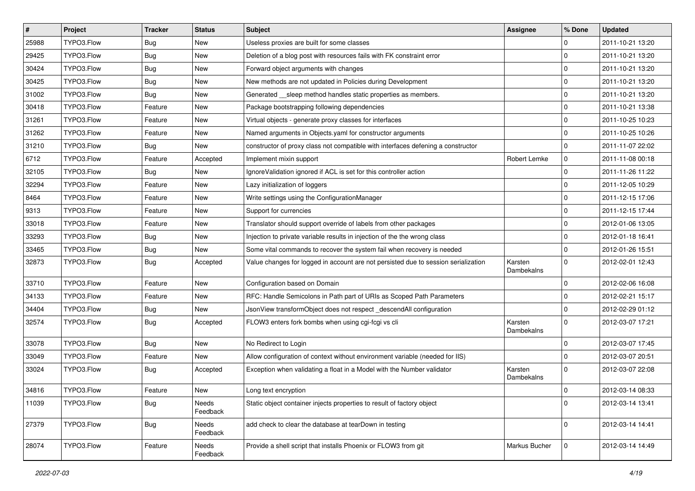| $\sharp$ | Project    | <b>Tracker</b> | <b>Status</b>     | Subject                                                                            | Assignee              | % Done      | <b>Updated</b>   |
|----------|------------|----------------|-------------------|------------------------------------------------------------------------------------|-----------------------|-------------|------------------|
| 25988    | TYPO3.Flow | <b>Bug</b>     | New               | Useless proxies are built for some classes                                         |                       | $\mathbf 0$ | 2011-10-21 13:20 |
| 29425    | TYPO3.Flow | <b>Bug</b>     | New               | Deletion of a blog post with resources fails with FK constraint error              |                       | $\mathbf 0$ | 2011-10-21 13:20 |
| 30424    | TYPO3.Flow | <b>Bug</b>     | New               | Forward object arguments with changes                                              |                       | $\mathbf 0$ | 2011-10-21 13:20 |
| 30425    | TYPO3.Flow | Bug            | New               | New methods are not updated in Policies during Development                         |                       | $\mathbf 0$ | 2011-10-21 13:20 |
| 31002    | TYPO3.Flow | <b>Bug</b>     | New               | Generated __sleep method handles static properties as members.                     |                       | $\mathbf 0$ | 2011-10-21 13:20 |
| 30418    | TYPO3.Flow | Feature        | New               | Package bootstrapping following dependencies                                       |                       | $\mathbf 0$ | 2011-10-21 13:38 |
| 31261    | TYPO3.Flow | Feature        | New               | Virtual objects - generate proxy classes for interfaces                            |                       | $\mathbf 0$ | 2011-10-25 10:23 |
| 31262    | TYPO3.Flow | Feature        | New               | Named arguments in Objects.yaml for constructor arguments                          |                       | $\mathbf 0$ | 2011-10-25 10:26 |
| 31210    | TYPO3.Flow | <b>Bug</b>     | New               | constructor of proxy class not compatible with interfaces defening a constructor   |                       | $\mathbf 0$ | 2011-11-07 22:02 |
| 6712     | TYPO3.Flow | Feature        | Accepted          | Implement mixin support                                                            | Robert Lemke          | $\mathbf 0$ | 2011-11-08 00:18 |
| 32105    | TYPO3.Flow | <b>Bug</b>     | New               | IgnoreValidation ignored if ACL is set for this controller action                  |                       | $\mathbf 0$ | 2011-11-26 11:22 |
| 32294    | TYPO3.Flow | Feature        | New               | Lazy initialization of loggers                                                     |                       | $\mathbf 0$ | 2011-12-05 10:29 |
| 8464     | TYPO3.Flow | Feature        | New               | Write settings using the ConfigurationManager                                      |                       | $\mathbf 0$ | 2011-12-15 17:06 |
| 9313     | TYPO3.Flow | Feature        | New               | Support for currencies                                                             |                       | $\mathbf 0$ | 2011-12-15 17:44 |
| 33018    | TYPO3.Flow | Feature        | New               | Translator should support override of labels from other packages                   |                       | 0           | 2012-01-06 13:05 |
| 33293    | TYPO3.Flow | <b>Bug</b>     | New               | Injection to private variable results in injection of the the wrong class          |                       | $\mathbf 0$ | 2012-01-18 16:41 |
| 33465    | TYPO3.Flow | Bug            | New               | Some vital commands to recover the system fail when recovery is needed             |                       | $\mathbf 0$ | 2012-01-26 15:51 |
| 32873    | TYPO3.Flow | <b>Bug</b>     | Accepted          | Value changes for logged in account are not persisted due to session serialization | Karsten<br>Dambekalns | $\mathbf 0$ | 2012-02-01 12:43 |
| 33710    | TYPO3.Flow | Feature        | New               | Configuration based on Domain                                                      |                       | $\mathbf 0$ | 2012-02-06 16:08 |
| 34133    | TYPO3.Flow | Feature        | New               | RFC: Handle Semicolons in Path part of URIs as Scoped Path Parameters              |                       | $\mathbf 0$ | 2012-02-21 15:17 |
| 34404    | TYPO3.Flow | <b>Bug</b>     | New               | JsonView transformObject does not respect_descendAll configuration                 |                       | $\mathbf 0$ | 2012-02-29 01:12 |
| 32574    | TYPO3.Flow | <b>Bug</b>     | Accepted          | FLOW3 enters fork bombs when using cgi-fcgi vs cli                                 | Karsten<br>Dambekalns | $\Omega$    | 2012-03-07 17:21 |
| 33078    | TYPO3.Flow | Bug            | New               | No Redirect to Login                                                               |                       | $\mathbf 0$ | 2012-03-07 17:45 |
| 33049    | TYPO3.Flow | Feature        | New               | Allow configuration of context without environment variable (needed for IIS)       |                       | $\mathbf 0$ | 2012-03-07 20:51 |
| 33024    | TYPO3.Flow | <b>Bug</b>     | Accepted          | Exception when validating a float in a Model with the Number validator             | Karsten<br>Dambekalns | $\Omega$    | 2012-03-07 22:08 |
| 34816    | TYPO3.Flow | Feature        | New               | Long text encryption                                                               |                       | $\mathbf 0$ | 2012-03-14 08:33 |
| 11039    | TYPO3.Flow | <b>Bug</b>     | Needs<br>Feedback | Static object container injects properties to result of factory object             |                       | $\mathbf 0$ | 2012-03-14 13:41 |
| 27379    | TYPO3.Flow | <b>Bug</b>     | Needs<br>Feedback | add check to clear the database at tearDown in testing                             |                       | $\mathbf 0$ | 2012-03-14 14:41 |
| 28074    | TYPO3.Flow | Feature        | Needs<br>Feedback | Provide a shell script that installs Phoenix or FLOW3 from git                     | Markus Bucher         | $\mathbf 0$ | 2012-03-14 14:49 |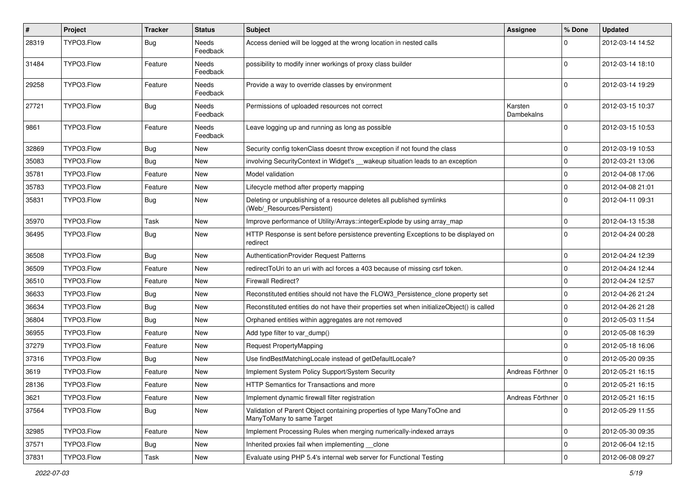| $\pmb{\#}$ | Project    | <b>Tracker</b> | <b>Status</b>            | Subject                                                                                              | <b>Assignee</b>       | % Done      | <b>Updated</b>   |
|------------|------------|----------------|--------------------------|------------------------------------------------------------------------------------------------------|-----------------------|-------------|------------------|
| 28319      | TYPO3.Flow | <b>Bug</b>     | Needs<br>Feedback        | Access denied will be logged at the wrong location in nested calls                                   |                       | 0           | 2012-03-14 14:52 |
| 31484      | TYPO3.Flow | Feature        | <b>Needs</b><br>Feedback | possibility to modify inner workings of proxy class builder                                          |                       | $\mathbf 0$ | 2012-03-14 18:10 |
| 29258      | TYPO3.Flow | Feature        | Needs<br>Feedback        | Provide a way to override classes by environment                                                     |                       | $\mathbf 0$ | 2012-03-14 19:29 |
| 27721      | TYPO3.Flow | <b>Bug</b>     | Needs<br>Feedback        | Permissions of uploaded resources not correct                                                        | Karsten<br>Dambekalns | $\mathbf 0$ | 2012-03-15 10:37 |
| 9861       | TYPO3.Flow | Feature        | Needs<br>Feedback        | Leave logging up and running as long as possible                                                     |                       | $\Omega$    | 2012-03-15 10:53 |
| 32869      | TYPO3.Flow | <b>Bug</b>     | New                      | Security config tokenClass doesnt throw exception if not found the class                             |                       | 0           | 2012-03-19 10:53 |
| 35083      | TYPO3.Flow | <b>Bug</b>     | New                      | involving SecurityContext in Widget's __wakeup situation leads to an exception                       |                       | $\mathbf 0$ | 2012-03-21 13:06 |
| 35781      | TYPO3.Flow | Feature        | New                      | Model validation                                                                                     |                       | $\mathbf 0$ | 2012-04-08 17:06 |
| 35783      | TYPO3.Flow | Feature        | New                      | Lifecycle method after property mapping                                                              |                       | $\mathbf 0$ | 2012-04-08 21:01 |
| 35831      | TYPO3.Flow | Bug            | New                      | Deleting or unpublishing of a resource deletes all published symlinks<br>(Web/_Resources/Persistent) |                       | $\Omega$    | 2012-04-11 09:31 |
| 35970      | TYPO3.Flow | Task           | New                      | Improve performance of Utility/Arrays::integerExplode by using array_map                             |                       | $\mathbf 0$ | 2012-04-13 15:38 |
| 36495      | TYPO3.Flow | <b>Bug</b>     | New                      | HTTP Response is sent before persistence preventing Exceptions to be displayed on<br>redirect        |                       | $\Omega$    | 2012-04-24 00:28 |
| 36508      | TYPO3.Flow | <b>Bug</b>     | New                      | AuthenticationProvider Request Patterns                                                              |                       | $\mathbf 0$ | 2012-04-24 12:39 |
| 36509      | TYPO3.Flow | Feature        | New                      | redirectToUri to an uri with acl forces a 403 because of missing csrf token.                         |                       | $\mathbf 0$ | 2012-04-24 12:44 |
| 36510      | TYPO3.Flow | Feature        | New                      | Firewall Redirect?                                                                                   |                       | 0           | 2012-04-24 12:57 |
| 36633      | TYPO3.Flow | <b>Bug</b>     | New                      | Reconstituted entities should not have the FLOW3_Persistence_clone property set                      |                       | $\mathbf 0$ | 2012-04-26 21:24 |
| 36634      | TYPO3.Flow | <b>Bug</b>     | New                      | Reconstituted entities do not have their properties set when initializeObject() is called            |                       | $\mathbf 0$ | 2012-04-26 21:28 |
| 36804      | TYPO3.Flow | <b>Bug</b>     | New                      | Orphaned entities within aggregates are not removed                                                  |                       | $\mathbf 0$ | 2012-05-03 11:54 |
| 36955      | TYPO3.Flow | Feature        | New                      | Add type filter to var_dump()                                                                        |                       | $\mathbf 0$ | 2012-05-08 16:39 |
| 37279      | TYPO3.Flow | Feature        | New                      | Request PropertyMapping                                                                              |                       | $\mathbf 0$ | 2012-05-18 16:06 |
| 37316      | TYPO3.Flow | <b>Bug</b>     | New                      | Use findBestMatchingLocale instead of getDefaultLocale?                                              |                       | $\mathbf 0$ | 2012-05-20 09:35 |
| 3619       | TYPO3.Flow | Feature        | New                      | Implement System Policy Support/System Security                                                      | Andreas Förthner      | l 0         | 2012-05-21 16:15 |
| 28136      | TYPO3.Flow | Feature        | New                      | HTTP Semantics for Transactions and more                                                             |                       | $\mathbf 0$ | 2012-05-21 16:15 |
| 3621       | TYPO3.Flow | Feature        | New                      | Implement dynamic firewall filter registration                                                       | Andreas Förthner   0  |             | 2012-05-21 16:15 |
| 37564      | TYPO3.Flow | <b>Bug</b>     | New                      | Validation of Parent Object containing properties of type ManyToOne and<br>ManyToMany to same Target |                       | $\mathbf 0$ | 2012-05-29 11:55 |
| 32985      | TYPO3.Flow | Feature        | New                      | Implement Processing Rules when merging numerically-indexed arrays                                   |                       | $\mathbf 0$ | 2012-05-30 09:35 |
| 37571      | TYPO3.Flow | <b>Bug</b>     | New                      | Inherited proxies fail when implementing __clone                                                     |                       | 0           | 2012-06-04 12:15 |
| 37831      | TYPO3.Flow | Task           | New                      | Evaluate using PHP 5.4's internal web server for Functional Testing                                  |                       | $\mathbf 0$ | 2012-06-08 09:27 |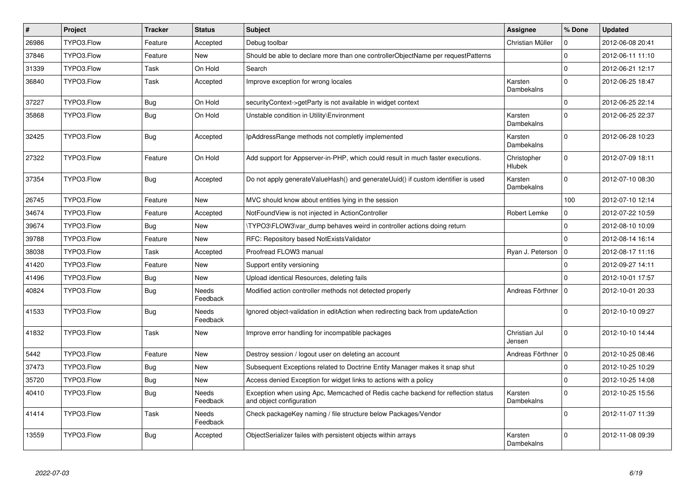| $\vert$ # | Project    | <b>Tracker</b> | <b>Status</b>     | <b>Subject</b>                                                                                               | Assignee                | % Done       | <b>Updated</b>   |
|-----------|------------|----------------|-------------------|--------------------------------------------------------------------------------------------------------------|-------------------------|--------------|------------------|
| 26986     | TYPO3.Flow | Feature        | Accepted          | Debug toolbar                                                                                                | Christian Müller        | $\mathbf{0}$ | 2012-06-08 20:41 |
| 37846     | TYPO3.Flow | Feature        | <b>New</b>        | Should be able to declare more than one controllerObjectName per requestPatterns                             |                         | $\mathbf 0$  | 2012-06-11 11:10 |
| 31339     | TYPO3.Flow | Task           | On Hold           | Search                                                                                                       |                         | $\mathbf{0}$ | 2012-06-21 12:17 |
| 36840     | TYPO3.Flow | Task           | Accepted          | Improve exception for wrong locales                                                                          | Karsten<br>Dambekalns   | $\mathbf{0}$ | 2012-06-25 18:47 |
| 37227     | TYPO3.Flow | Bug            | On Hold           | securityContext->getParty is not available in widget context                                                 |                         | $\Omega$     | 2012-06-25 22:14 |
| 35868     | TYPO3.Flow | <b>Bug</b>     | On Hold           | Unstable condition in Utility\Environment                                                                    | Karsten<br>Dambekalns   | $\mathbf 0$  | 2012-06-25 22:37 |
| 32425     | TYPO3.Flow | <b>Bug</b>     | Accepted          | IpAddressRange methods not completly implemented                                                             | Karsten<br>Dambekalns   | $\Omega$     | 2012-06-28 10:23 |
| 27322     | TYPO3.Flow | Feature        | On Hold           | Add support for Appserver-in-PHP, which could result in much faster executions.                              | Christopher<br>Hlubek   | $\Omega$     | 2012-07-09 18:11 |
| 37354     | TYPO3.Flow | <b>Bug</b>     | Accepted          | Do not apply generateValueHash() and generateUuid() if custom identifier is used                             | Karsten<br>Dambekalns   | $\Omega$     | 2012-07-10 08:30 |
| 26745     | TYPO3.Flow | Feature        | New               | MVC should know about entities lying in the session                                                          |                         | 100          | 2012-07-10 12:14 |
| 34674     | TYPO3.Flow | Feature        | Accepted          | NotFoundView is not injected in ActionController                                                             | Robert Lemke            | 0            | 2012-07-22 10:59 |
| 39674     | TYPO3.Flow | <b>Bug</b>     | New               | \TYPO3\FLOW3\var dump behaves weird in controller actions doing return                                       |                         | $\mathbf{0}$ | 2012-08-10 10:09 |
| 39788     | TYPO3.Flow | Feature        | New               | RFC: Repository based NotExistsValidator                                                                     |                         | $\mathbf 0$  | 2012-08-14 16:14 |
| 38038     | TYPO3.Flow | Task           | Accepted          | Proofread FLOW3 manual                                                                                       | Ryan J. Peterson        | $\mathbf 0$  | 2012-08-17 11:16 |
| 41420     | TYPO3.Flow | Feature        | New               | Support entity versioning                                                                                    |                         | $\mathbf{0}$ | 2012-09-27 14:11 |
| 41496     | TYPO3.Flow | <b>Bug</b>     | New               | Upload identical Resources, deleting fails                                                                   |                         | $\Omega$     | 2012-10-01 17:57 |
| 40824     | TYPO3.Flow | Bug            | Needs<br>Feedback | Modified action controller methods not detected properly                                                     | Andreas Förthner        | $\mathbf 0$  | 2012-10-01 20:33 |
| 41533     | TYPO3.Flow | <b>Bug</b>     | Needs<br>Feedback | Ignored object-validation in editAction when redirecting back from updateAction                              |                         | $\Omega$     | 2012-10-10 09:27 |
| 41832     | TYPO3.Flow | Task           | New               | Improve error handling for incompatible packages                                                             | Christian Jul<br>Jensen | $\mathbf 0$  | 2012-10-10 14:44 |
| 5442      | TYPO3.Flow | Feature        | New               | Destroy session / logout user on deleting an account                                                         | Andreas Förthner   0    |              | 2012-10-25 08:46 |
| 37473     | TYPO3.Flow | <b>Bug</b>     | New               | Subsequent Exceptions related to Doctrine Entity Manager makes it snap shut                                  |                         | 0            | 2012-10-25 10:29 |
| 35720     | TYPO3.Flow | <b>Bug</b>     | New               | Access denied Exception for widget links to actions with a policy                                            |                         | $\mathbf 0$  | 2012-10-25 14:08 |
| 40410     | TYPO3.Flow | <b>Bug</b>     | Needs<br>Feedback | Exception when using Apc, Memcached of Redis cache backend for reflection status<br>and object configuration | Karsten<br>Dambekalns   | $\mathbf 0$  | 2012-10-25 15:56 |
| 41414     | TYPO3.Flow | Task           | Needs<br>Feedback | Check packageKey naming / file structure below Packages/Vendor                                               |                         | $\mathbf{0}$ | 2012-11-07 11:39 |
| 13559     | TYPO3.Flow | Bug            | Accepted          | ObjectSerializer failes with persistent objects within arrays                                                | Karsten<br>Dambekalns   | $\mathbf{0}$ | 2012-11-08 09:39 |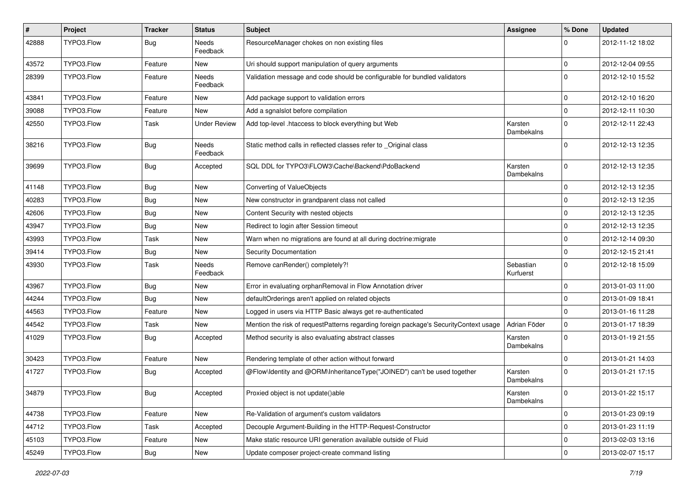| #     | Project    | <b>Tracker</b> | <b>Status</b>       | <b>Subject</b>                                                                        | <b>Assignee</b>        | % Done       | <b>Updated</b>   |
|-------|------------|----------------|---------------------|---------------------------------------------------------------------------------------|------------------------|--------------|------------------|
| 42888 | TYPO3.Flow | <b>Bug</b>     | Needs<br>Feedback   | ResourceManager chokes on non existing files                                          |                        | 0            | 2012-11-12 18:02 |
| 43572 | TYPO3.Flow | Feature        | New                 | Uri should support manipulation of query arguments                                    |                        | $\mathbf 0$  | 2012-12-04 09:55 |
| 28399 | TYPO3.Flow | Feature        | Needs<br>Feedback   | Validation message and code should be configurable for bundled validators             |                        | $\Omega$     | 2012-12-10 15:52 |
| 43841 | TYPO3.Flow | Feature        | New                 | Add package support to validation errors                                              |                        | 0            | 2012-12-10 16:20 |
| 39088 | TYPO3.Flow | Feature        | New                 | Add a sgnalslot before compilation                                                    |                        | $\mathbf 0$  | 2012-12-11 10:30 |
| 42550 | TYPO3.Flow | Task           | <b>Under Review</b> | Add top-level .htaccess to block everything but Web                                   | Karsten<br>Dambekalns  | $\mathbf 0$  | 2012-12-11 22:43 |
| 38216 | TYPO3.Flow | <b>Bug</b>     | Needs<br>Feedback   | Static method calls in reflected classes refer to _Original class                     |                        | 0            | 2012-12-13 12:35 |
| 39699 | TYPO3.Flow | Bug            | Accepted            | SQL DDL for TYPO3\FLOW3\Cache\Backend\PdoBackend                                      | Karsten<br>Dambekalns  | $\Omega$     | 2012-12-13 12:35 |
| 41148 | TYPO3.Flow | <b>Bug</b>     | New                 | Converting of ValueObjects                                                            |                        | 0            | 2012-12-13 12:35 |
| 40283 | TYPO3.Flow | <b>Bug</b>     | New                 | New constructor in grandparent class not called                                       |                        | $\mathbf{0}$ | 2012-12-13 12:35 |
| 42606 | TYPO3.Flow | <b>Bug</b>     | New                 | Content Security with nested objects                                                  |                        | $\mathbf 0$  | 2012-12-13 12:35 |
| 43947 | TYPO3.Flow | <b>Bug</b>     | New                 | Redirect to login after Session timeout                                               |                        | $\Omega$     | 2012-12-13 12:35 |
| 43993 | TYPO3.Flow | Task           | New                 | Warn when no migrations are found at all during doctrine: migrate                     |                        | $\mathbf 0$  | 2012-12-14 09:30 |
| 39414 | TYPO3.Flow | Bug            | New                 | Security Documentation                                                                |                        | $\mathbf{0}$ | 2012-12-15 21:41 |
| 43930 | TYPO3.Flow | Task           | Needs<br>Feedback   | Remove canRender() completely?!                                                       | Sebastian<br>Kurfuerst | $\mathbf{0}$ | 2012-12-18 15:09 |
| 43967 | TYPO3.Flow | <b>Bug</b>     | New                 | Error in evaluating orphanRemoval in Flow Annotation driver                           |                        | 0            | 2013-01-03 11:00 |
| 44244 | TYPO3.Flow | <b>Bug</b>     | New                 | defaultOrderings aren't applied on related objects                                    |                        | $\mathbf 0$  | 2013-01-09 18:41 |
| 44563 | TYPO3.Flow | Feature        | New                 | Logged in users via HTTP Basic always get re-authenticated                            |                        | $\mathbf 0$  | 2013-01-16 11:28 |
| 44542 | TYPO3.Flow | Task           | New                 | Mention the risk of requestPatterns regarding foreign package's SecurityContext usage | Adrian Föder           | $\mathbf 0$  | 2013-01-17 18:39 |
| 41029 | TYPO3.Flow | <b>Bug</b>     | Accepted            | Method security is also evaluating abstract classes                                   | Karsten<br>Dambekalns  | $\Omega$     | 2013-01-19 21:55 |
| 30423 | TYPO3.Flow | Feature        | New                 | Rendering template of other action without forward                                    |                        | $\Omega$     | 2013-01-21 14:03 |
| 41727 | TYPO3.Flow | Bug            | Accepted            | @Flow\Identity and @ORM\InheritanceType("JOINED") can't be used together              | Karsten<br>Dambekalns  | $\Omega$     | 2013-01-21 17:15 |
| 34879 | TYPO3.Flow | Bug            | Accepted            | Proxied object is not update()able                                                    | Karsten<br>Dambekalns  |              | 2013-01-22 15:17 |
| 44738 | TYPO3.Flow | Feature        | New                 | Re-Validation of argument's custom validators                                         |                        | $\mathbf{0}$ | 2013-01-23 09:19 |
| 44712 | TYPO3.Flow | Task           | Accepted            | Decouple Argument-Building in the HTTP-Request-Constructor                            |                        | $\mathbf 0$  | 2013-01-23 11:19 |
| 45103 | TYPO3.Flow | Feature        | New                 | Make static resource URI generation available outside of Fluid                        |                        | $\mathbf 0$  | 2013-02-03 13:16 |
| 45249 | TYPO3.Flow | Bug            | New                 | Update composer project-create command listing                                        |                        | $\pmb{0}$    | 2013-02-07 15:17 |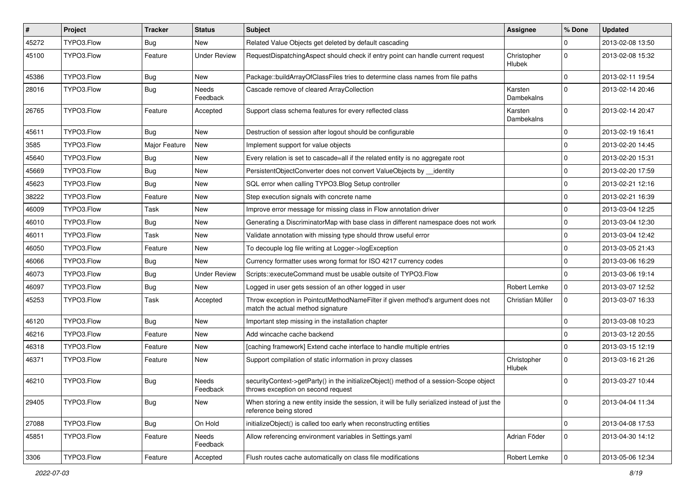| $\pmb{\#}$ | Project    | <b>Tracker</b> | <b>Status</b>            | <b>Subject</b>                                                                                                               | Assignee              | % Done         | <b>Updated</b>   |
|------------|------------|----------------|--------------------------|------------------------------------------------------------------------------------------------------------------------------|-----------------------|----------------|------------------|
| 45272      | TYPO3.Flow | <b>Bug</b>     | New                      | Related Value Objects get deleted by default cascading                                                                       |                       | $\Omega$       | 2013-02-08 13:50 |
| 45100      | TYPO3.Flow | Feature        | <b>Under Review</b>      | RequestDispatchingAspect should check if entry point can handle current request                                              | Christopher<br>Hlubek | $\mathbf{0}$   | 2013-02-08 15:32 |
| 45386      | TYPO3.Flow | <b>Bug</b>     | New                      | Package::buildArrayOfClassFiles tries to determine class names from file paths                                               |                       | $\mathbf 0$    | 2013-02-11 19:54 |
| 28016      | TYPO3.Flow | <b>Bug</b>     | <b>Needs</b><br>Feedback | Cascade remove of cleared ArrayCollection                                                                                    | Karsten<br>Dambekalns | $\Omega$       | 2013-02-14 20:46 |
| 26765      | TYPO3.Flow | Feature        | Accepted                 | Support class schema features for every reflected class                                                                      | Karsten<br>Dambekalns | $\Omega$       | 2013-02-14 20:47 |
| 45611      | TYPO3.Flow | <b>Bug</b>     | New                      | Destruction of session after logout should be configurable                                                                   |                       | $\Omega$       | 2013-02-19 16:41 |
| 3585       | TYPO3.Flow | Major Feature  | New                      | Implement support for value objects                                                                                          |                       | $\mathbf 0$    | 2013-02-20 14:45 |
| 45640      | TYPO3.Flow | <b>Bug</b>     | New                      | Every relation is set to cascade=all if the related entity is no aggregate root                                              |                       | $\mathbf 0$    | 2013-02-20 15:31 |
| 45669      | TYPO3.Flow | Bug            | New                      | PersistentObjectConverter does not convert ValueObjects by __identity                                                        |                       | $\Omega$       | 2013-02-20 17:59 |
| 45623      | TYPO3.Flow | <b>Bug</b>     | <b>New</b>               | SQL error when calling TYPO3.Blog Setup controller                                                                           |                       | 0              | 2013-02-21 12:16 |
| 38222      | TYPO3.Flow | Feature        | New                      | Step execution signals with concrete name                                                                                    |                       | $\Omega$       | 2013-02-21 16:39 |
| 46009      | TYPO3.Flow | Task           | New                      | Improve error message for missing class in Flow annotation driver                                                            |                       | $\mathbf 0$    | 2013-03-04 12:25 |
| 46010      | TYPO3.Flow | <b>Bug</b>     | New                      | Generating a DiscriminatorMap with base class in different namespace does not work                                           |                       | $\mathbf 0$    | 2013-03-04 12:30 |
| 46011      | TYPO3.Flow | Task           | New                      | Validate annotation with missing type should throw useful error                                                              |                       | $\mathbf 0$    | 2013-03-04 12:42 |
| 46050      | TYPO3.Flow | Feature        | New                      | To decouple log file writing at Logger->logException                                                                         |                       | $\Omega$       | 2013-03-05 21:43 |
| 46066      | TYPO3.Flow | <b>Bug</b>     | New                      | Currency formatter uses wrong format for ISO 4217 currency codes                                                             |                       | 0              | 2013-03-06 16:29 |
| 46073      | TYPO3.Flow | <b>Bug</b>     | <b>Under Review</b>      | Scripts::executeCommand must be usable outsite of TYPO3.Flow                                                                 |                       | $\mathbf{0}$   | 2013-03-06 19:14 |
| 46097      | TYPO3.Flow | <b>Bug</b>     | New                      | Logged in user gets session of an other logged in user                                                                       | Robert Lemke          | 0              | 2013-03-07 12:52 |
| 45253      | TYPO3.Flow | Task           | Accepted                 | Throw exception in PointcutMethodNameFilter if given method's argument does not<br>match the actual method signature         | Christian Müller      | $\Omega$       | 2013-03-07 16:33 |
| 46120      | TYPO3.Flow | <b>Bug</b>     | New                      | Important step missing in the installation chapter                                                                           |                       | $\mathbf 0$    | 2013-03-08 10:23 |
| 46216      | TYPO3.Flow | Feature        | New                      | Add wincache cache backend                                                                                                   |                       | $\mathbf 0$    | 2013-03-12 20:55 |
| 46318      | TYPO3.Flow | Feature        | New                      | [caching framework] Extend cache interface to handle multiple entries                                                        |                       | $\mathbf 0$    | 2013-03-15 12:19 |
| 46371      | TYPO3.Flow | Feature        | New                      | Support compilation of static information in proxy classes                                                                   | Christopher<br>Hlubek | $\mathbf 0$    | 2013-03-16 21:26 |
| 46210      | TYPO3.Flow | <b>Bug</b>     | Needs<br>Feedback        | securityContext->getParty() in the initializeObject() method of a session-Scope object<br>throws exception on second request |                       | $\Omega$       | 2013-03-27 10:44 |
| 29405      | TYPO3.Flow | <b>Bug</b>     | New                      | When storing a new entity inside the session, it will be fully serialized instead of just the<br>reference being stored      |                       | $\mathbf 0$    | 2013-04-04 11:34 |
| 27088      | TYPO3.Flow | <b>Bug</b>     | On Hold                  | initializeObject() is called too early when reconstructing entities                                                          |                       | $\mathbf 0$    | 2013-04-08 17:53 |
| 45851      | TYPO3.Flow | Feature        | Needs<br>Feedback        | Allow referencing environment variables in Settings.yaml                                                                     | Adrian Föder          | $\mathbf 0$    | 2013-04-30 14:12 |
| 3306       | TYPO3.Flow | Feature        | Accepted                 | Flush routes cache automatically on class file modifications                                                                 | Robert Lemke          | $\overline{0}$ | 2013-05-06 12:34 |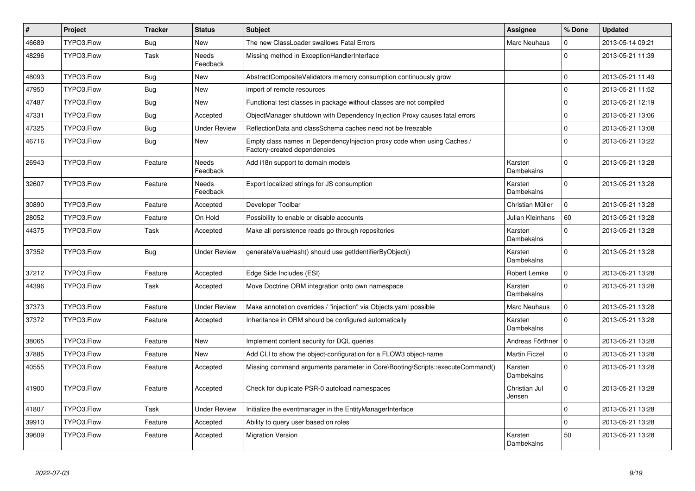| $\vert$ # | Project    | <b>Tracker</b> | <b>Status</b>            | <b>Subject</b>                                                                                          | Assignee                | % Done       | <b>Updated</b>   |
|-----------|------------|----------------|--------------------------|---------------------------------------------------------------------------------------------------------|-------------------------|--------------|------------------|
| 46689     | TYPO3.Flow | Bug            | New                      | The new ClassLoader swallows Fatal Errors                                                               | Marc Neuhaus            | $\Omega$     | 2013-05-14 09:21 |
| 48296     | TYPO3.Flow | Task           | <b>Needs</b><br>Feedback | Missing method in ExceptionHandlerInterface                                                             |                         | $\Omega$     | 2013-05-21 11:39 |
| 48093     | TYPO3.Flow | Bug            | <b>New</b>               | AbstractCompositeValidators memory consumption continuously grow                                        |                         | $\mathbf 0$  | 2013-05-21 11:49 |
| 47950     | TYPO3.Flow | <b>Bug</b>     | New                      | import of remote resources                                                                              |                         | $\mathbf 0$  | 2013-05-21 11:52 |
| 47487     | TYPO3.Flow | <b>Bug</b>     | <b>New</b>               | Functional test classes in package without classes are not compiled                                     |                         | $\mathbf 0$  | 2013-05-21 12:19 |
| 47331     | TYPO3.Flow | Bug            | Accepted                 | ObjectManager shutdown with Dependency Injection Proxy causes fatal errors                              |                         | $\mathbf 0$  | 2013-05-21 13:06 |
| 47325     | TYPO3.Flow | <b>Bug</b>     | <b>Under Review</b>      | ReflectionData and classSchema caches need not be freezable                                             |                         | $\mathbf 0$  | 2013-05-21 13:08 |
| 46716     | TYPO3.Flow | <b>Bug</b>     | <b>New</b>               | Empty class names in DependencyInjection proxy code when using Caches /<br>Factory-created dependencies |                         | $\mathbf{0}$ | 2013-05-21 13:22 |
| 26943     | TYPO3.Flow | Feature        | Needs<br>Feedback        | Add i18n support to domain models                                                                       | Karsten<br>Dambekalns   | $\mathbf 0$  | 2013-05-21 13:28 |
| 32607     | TYPO3.Flow | Feature        | Needs<br>Feedback        | Export localized strings for JS consumption                                                             | Karsten<br>Dambekalns   | $\mathbf{0}$ | 2013-05-21 13:28 |
| 30890     | TYPO3.Flow | Feature        | Accepted                 | Developer Toolbar                                                                                       | Christian Müller        | 0            | 2013-05-21 13:28 |
| 28052     | TYPO3.Flow | Feature        | On Hold                  | Possibility to enable or disable accounts                                                               | Julian Kleinhans        | 60           | 2013-05-21 13:28 |
| 44375     | TYPO3.Flow | Task           | Accepted                 | Make all persistence reads go through repositories                                                      | Karsten<br>Dambekalns   | $\mathbf{0}$ | 2013-05-21 13:28 |
| 37352     | TYPO3.Flow | Bug            | <b>Under Review</b>      | generateValueHash() should use getIdentifierByObject()                                                  | Karsten<br>Dambekalns   | $\mathbf{0}$ | 2013-05-21 13:28 |
| 37212     | TYPO3.Flow | Feature        | Accepted                 | Edge Side Includes (ESI)                                                                                | Robert Lemke            | $\mathsf 0$  | 2013-05-21 13:28 |
| 44396     | TYPO3.Flow | Task           | Accepted                 | Move Doctrine ORM integration onto own namespace                                                        | Karsten<br>Dambekalns   | $\mathbf 0$  | 2013-05-21 13:28 |
| 37373     | TYPO3.Flow | Feature        | <b>Under Review</b>      | Make annotation overrides / "injection" via Objects.yaml possible                                       | <b>Marc Neuhaus</b>     | $\mathbf 0$  | 2013-05-21 13:28 |
| 37372     | TYPO3.Flow | Feature        | Accepted                 | Inheritance in ORM should be configured automatically                                                   | Karsten<br>Dambekalns   | $\mathbf{0}$ | 2013-05-21 13:28 |
| 38065     | TYPO3.Flow | Feature        | <b>New</b>               | Implement content security for DQL queries                                                              | Andreas Förthner        | $\mathbf{0}$ | 2013-05-21 13:28 |
| 37885     | TYPO3.Flow | Feature        | <b>New</b>               | Add CLI to show the object-configuration for a FLOW3 object-name                                        | <b>Martin Ficzel</b>    | $\mathbf 0$  | 2013-05-21 13:28 |
| 40555     | TYPO3.Flow | Feature        | Accepted                 | Missing command arguments parameter in Core\Booting\Scripts::executeCommand()                           | Karsten<br>Dambekalns   | $\mathbf 0$  | 2013-05-21 13:28 |
| 41900     | TYPO3.Flow | Feature        | Accepted                 | Check for duplicate PSR-0 autoload namespaces                                                           | Christian Jul<br>Jensen | $\mathbf{0}$ | 2013-05-21 13:28 |
| 41807     | TYPO3.Flow | Task           | <b>Under Review</b>      | Initialize the eventmanager in the EntityManagerInterface                                               |                         | $\mathbf 0$  | 2013-05-21 13:28 |
| 39910     | TYPO3.Flow | Feature        | Accepted                 | Ability to query user based on roles                                                                    |                         | $\mathbf{0}$ | 2013-05-21 13:28 |
| 39609     | TYPO3.Flow | Feature        | Accepted                 | <b>Migration Version</b>                                                                                | Karsten<br>Dambekalns   | 50           | 2013-05-21 13:28 |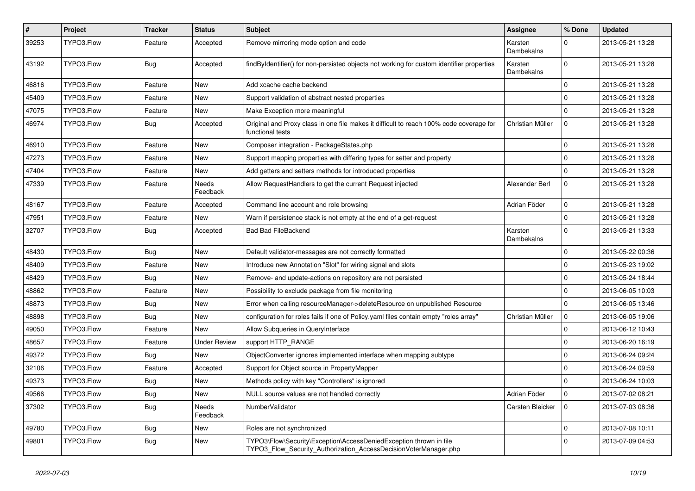| $\sharp$ | Project    | <b>Tracker</b> | <b>Status</b>       | <b>Subject</b>                                                                                                                         | <b>Assignee</b>       | % Done      | <b>Updated</b>   |
|----------|------------|----------------|---------------------|----------------------------------------------------------------------------------------------------------------------------------------|-----------------------|-------------|------------------|
| 39253    | TYPO3.Flow | Feature        | Accepted            | Remove mirroring mode option and code                                                                                                  | Karsten<br>Dambekalns | 0           | 2013-05-21 13:28 |
| 43192    | TYPO3.Flow | Bug            | Accepted            | findByIdentifier() for non-persisted objects not working for custom identifier properties                                              | Karsten<br>Dambekalns | $\Omega$    | 2013-05-21 13:28 |
| 46816    | TYPO3.Flow | Feature        | New                 | Add xcache cache backend                                                                                                               |                       | 0           | 2013-05-21 13:28 |
| 45409    | TYPO3.Flow | Feature        | New                 | Support validation of abstract nested properties                                                                                       |                       | 0           | 2013-05-21 13:28 |
| 47075    | TYPO3.Flow | Feature        | New                 | Make Exception more meaningful                                                                                                         |                       | $\Omega$    | 2013-05-21 13:28 |
| 46974    | TYPO3.Flow | <b>Bug</b>     | Accepted            | Original and Proxy class in one file makes it difficult to reach 100% code coverage for<br>functional tests                            | Christian Müller      | 0           | 2013-05-21 13:28 |
| 46910    | TYPO3.Flow | Feature        | New                 | Composer integration - PackageStates.php                                                                                               |                       | 0           | 2013-05-21 13:28 |
| 47273    | TYPO3.Flow | Feature        | New                 | Support mapping properties with differing types for setter and property                                                                |                       | $\mathbf 0$ | 2013-05-21 13:28 |
| 47404    | TYPO3.Flow | Feature        | New                 | Add getters and setters methods for introduced properties                                                                              |                       | $\Omega$    | 2013-05-21 13:28 |
| 47339    | TYPO3.Flow | Feature        | Needs<br>Feedback   | Allow RequestHandlers to get the current Request injected                                                                              | Alexander Berl        | 0           | 2013-05-21 13:28 |
| 48167    | TYPO3.Flow | Feature        | Accepted            | Command line account and role browsing                                                                                                 | Adrian Föder          | $\mathbf 0$ | 2013-05-21 13:28 |
| 47951    | TYPO3.Flow | Feature        | New                 | Warn if persistence stack is not empty at the end of a get-request                                                                     |                       | $\Omega$    | 2013-05-21 13:28 |
| 32707    | TYPO3.Flow | <b>Bug</b>     | Accepted            | <b>Bad Bad FileBackend</b>                                                                                                             | Karsten<br>Dambekalns | $\mathbf 0$ | 2013-05-21 13:33 |
| 48430    | TYPO3.Flow | <b>Bug</b>     | New                 | Default validator-messages are not correctly formatted                                                                                 |                       | $\mathbf 0$ | 2013-05-22 00:36 |
| 48409    | TYPO3.Flow | Feature        | New                 | Introduce new Annotation "Slot" for wiring signal and slots                                                                            |                       | $\mathbf 0$ | 2013-05-23 19:02 |
| 48429    | TYPO3.Flow | Bug            | New                 | Remove- and update-actions on repository are not persisted                                                                             |                       | $\Omega$    | 2013-05-24 18:44 |
| 48862    | TYPO3.Flow | Feature        | New                 | Possibility to exclude package from file monitoring                                                                                    |                       | $\Omega$    | 2013-06-05 10:03 |
| 48873    | TYPO3.Flow | <b>Bug</b>     | New                 | Error when calling resourceManager->deleteResource on unpublished Resource                                                             |                       | 0           | 2013-06-05 13:46 |
| 48898    | TYPO3.Flow | <b>Bug</b>     | New                 | configuration for roles fails if one of Policy yaml files contain empty "roles array"                                                  | Christian Müller      | 0           | 2013-06-05 19:06 |
| 49050    | TYPO3.Flow | Feature        | New                 | Allow Subqueries in QueryInterface                                                                                                     |                       | $\Omega$    | 2013-06-12 10:43 |
| 48657    | TYPO3.Flow | Feature        | <b>Under Review</b> | support HTTP_RANGE                                                                                                                     |                       | 0           | 2013-06-20 16:19 |
| 49372    | TYPO3.Flow | <b>Bug</b>     | New                 | ObjectConverter ignores implemented interface when mapping subtype                                                                     |                       | $\mathbf 0$ | 2013-06-24 09:24 |
| 32106    | TYPO3.Flow | Feature        | Accepted            | Support for Object source in PropertyMapper                                                                                            |                       | $\Omega$    | 2013-06-24 09:59 |
| 49373    | TYPO3.Flow | Bug            | New                 | Methods policy with key "Controllers" is ignored                                                                                       |                       | 0           | 2013-06-24 10:03 |
| 49566    | TYPO3.Flow | <b>Bug</b>     | New                 | NULL source values are not handled correctly                                                                                           | Adrian Föder          |             | 2013-07-02 08:21 |
| 37302    | TYPO3.Flow | <b>Bug</b>     | Needs<br>Feedback   | Number Validator                                                                                                                       | Carsten Bleicker      | 10          | 2013-07-03 08:36 |
| 49780    | TYPO3.Flow | <b>Bug</b>     | New                 | Roles are not synchronized                                                                                                             |                       | $\mathbf 0$ | 2013-07-08 10:11 |
| 49801    | TYPO3.Flow | <b>Bug</b>     | New                 | TYPO3\Flow\Security\Exception\AccessDeniedException thrown in file<br>TYPO3_Flow_Security_Authorization_AccessDecisionVoterManager.php |                       | $\mathbf 0$ | 2013-07-09 04:53 |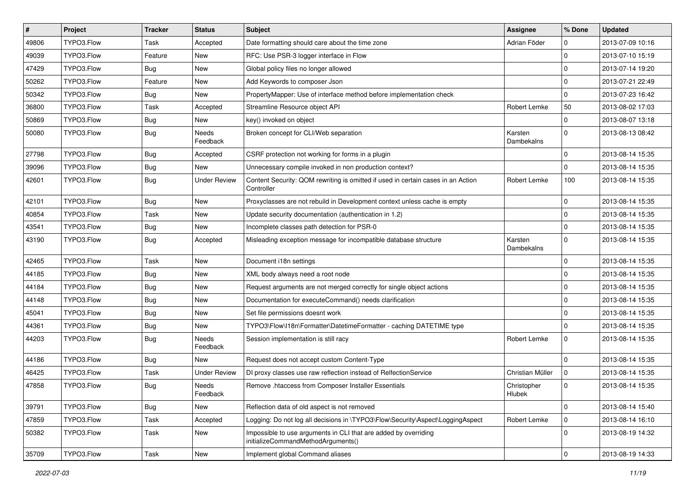| $\sharp$ | Project    | <b>Tracker</b> | <b>Status</b>       | Subject                                                                                               | Assignee              | % Done      | <b>Updated</b>   |
|----------|------------|----------------|---------------------|-------------------------------------------------------------------------------------------------------|-----------------------|-------------|------------------|
| 49806    | TYPO3.Flow | Task           | Accepted            | Date formatting should care about the time zone                                                       | Adrian Föder          | 0           | 2013-07-09 10:16 |
| 49039    | TYPO3.Flow | Feature        | New                 | RFC: Use PSR-3 logger interface in Flow                                                               |                       | $\mathbf 0$ | 2013-07-10 15:19 |
| 47429    | TYPO3.Flow | <b>Bug</b>     | New                 | Global policy files no longer allowed                                                                 |                       | $\mathbf 0$ | 2013-07-14 19:20 |
| 50262    | TYPO3.Flow | Feature        | New                 | Add Keywords to composer Json                                                                         |                       | $\mathbf 0$ | 2013-07-21 22:49 |
| 50342    | TYPO3.Flow | <b>Bug</b>     | New                 | PropertyMapper: Use of interface method before implementation check                                   |                       | $\mathbf 0$ | 2013-07-23 16:42 |
| 36800    | TYPO3.Flow | Task           | Accepted            | Streamline Resource object API                                                                        | <b>Robert Lemke</b>   | 50          | 2013-08-02 17:03 |
| 50869    | TYPO3.Flow | <b>Bug</b>     | New                 | key() invoked on object                                                                               |                       | $\mathbf 0$ | 2013-08-07 13:18 |
| 50080    | TYPO3.Flow | <b>Bug</b>     | Needs<br>Feedback   | Broken concept for CLI/Web separation                                                                 | Karsten<br>Dambekalns | $\mathbf 0$ | 2013-08-13 08:42 |
| 27798    | TYPO3.Flow | <b>Bug</b>     | Accepted            | CSRF protection not working for forms in a plugin                                                     |                       | 0           | 2013-08-14 15:35 |
| 39096    | TYPO3.Flow | <b>Bug</b>     | New                 | Unnecessary compile invoked in non production context?                                                |                       | $\mathbf 0$ | 2013-08-14 15:35 |
| 42601    | TYPO3.Flow | <b>Bug</b>     | <b>Under Review</b> | Content Security: QOM rewriting is omitted if used in certain cases in an Action<br>Controller        | Robert Lemke          | 100         | 2013-08-14 15:35 |
| 42101    | TYPO3.Flow | Bug            | New                 | Proxyclasses are not rebuild in Development context unless cache is empty                             |                       | $\mathbf 0$ | 2013-08-14 15:35 |
| 40854    | TYPO3.Flow | Task           | New                 | Update security documentation (authentication in 1.2)                                                 |                       | $\mathbf 0$ | 2013-08-14 15:35 |
| 43541    | TYPO3.Flow | Bug            | New                 | Incomplete classes path detection for PSR-0                                                           |                       | $\mathbf 0$ | 2013-08-14 15:35 |
| 43190    | TYPO3.Flow | <b>Bug</b>     | Accepted            | Misleading exception message for incompatible database structure                                      | Karsten<br>Dambekalns | $\mathbf 0$ | 2013-08-14 15:35 |
| 42465    | TYPO3.Flow | Task           | <b>New</b>          | Document i18n settings                                                                                |                       | $\mathbf 0$ | 2013-08-14 15:35 |
| 44185    | TYPO3.Flow | Bug            | New                 | XML body always need a root node                                                                      |                       | $\mathbf 0$ | 2013-08-14 15:35 |
| 44184    | TYPO3.Flow | Bug            | New                 | Request arguments are not merged correctly for single object actions                                  |                       | $\mathbf 0$ | 2013-08-14 15:35 |
| 44148    | TYPO3.Flow | <b>Bug</b>     | New                 | Documentation for executeCommand() needs clarification                                                |                       | $\mathbf 0$ | 2013-08-14 15:35 |
| 45041    | TYPO3.Flow | <b>Bug</b>     | New                 | Set file permissions doesnt work                                                                      |                       | $\mathbf 0$ | 2013-08-14 15:35 |
| 44361    | TYPO3.Flow | <b>Bug</b>     | New                 | TYPO3\Flow\I18n\Formatter\DatetimeFormatter - caching DATETIME type                                   |                       | $\mathbf 0$ | 2013-08-14 15:35 |
| 44203    | TYPO3.Flow | <b>Bug</b>     | Needs<br>Feedback   | Session implementation is still racy                                                                  | Robert Lemke          | $\mathbf 0$ | 2013-08-14 15:35 |
| 44186    | TYPO3.Flow | <b>Bug</b>     | New                 | Request does not accept custom Content-Type                                                           |                       | $\mathbf 0$ | 2013-08-14 15:35 |
| 46425    | TYPO3.Flow | Task           | <b>Under Review</b> | DI proxy classes use raw reflection instead of RelfectionService                                      | Christian Müller      | $\mathbf 0$ | 2013-08-14 15:35 |
| 47858    | TYPO3.Flow | Bug            | Needs<br>Feedback   | Remove .htaccess from Composer Installer Essentials                                                   | Christopher<br>Hlubek | 0           | 2013-08-14 15:35 |
| 39791    | TYPO3.Flow | <b>Bug</b>     | New                 | Reflection data of old aspect is not removed                                                          |                       | 0           | 2013-08-14 15:40 |
| 47859    | TYPO3.Flow | Task           | Accepted            | Logging: Do not log all decisions in \TYPO3\Flow\Security\Aspect\LoggingAspect                        | Robert Lemke          | $\mathbf 0$ | 2013-08-14 16:10 |
| 50382    | TYPO3.Flow | Task           | New                 | Impossible to use arguments in CLI that are added by overriding<br>initializeCommandMethodArguments() |                       | $\mathbf 0$ | 2013-08-19 14:32 |
| 35709    | TYPO3.Flow | Task           | New                 | Implement global Command aliases                                                                      |                       | 0           | 2013-08-19 14:33 |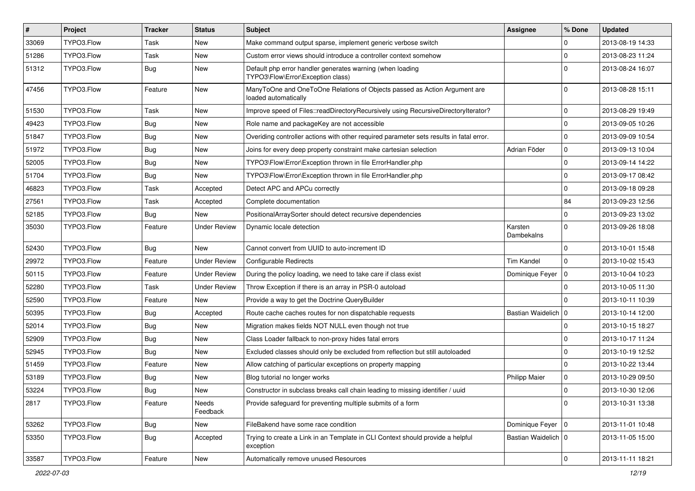| $\pmb{\#}$ | Project    | <b>Tracker</b> | <b>Status</b>       | <b>Subject</b>                                                                                    | <b>Assignee</b>       | % Done       | <b>Updated</b>   |
|------------|------------|----------------|---------------------|---------------------------------------------------------------------------------------------------|-----------------------|--------------|------------------|
| 33069      | TYPO3.Flow | Task           | <b>New</b>          | Make command output sparse, implement generic verbose switch                                      |                       | $\Omega$     | 2013-08-19 14:33 |
| 51286      | TYPO3.Flow | Task           | New                 | Custom error views should introduce a controller context somehow                                  |                       | $\mathbf 0$  | 2013-08-23 11:24 |
| 51312      | TYPO3.Flow | <b>Bug</b>     | New                 | Default php error handler generates warning (when loading<br>TYPO3\Flow\Error\Exception class)    |                       | $\Omega$     | 2013-08-24 16:07 |
| 47456      | TYPO3.Flow | Feature        | <b>New</b>          | ManyToOne and OneToOne Relations of Objects passed as Action Argument are<br>loaded automatically |                       | $\Omega$     | 2013-08-28 15:11 |
| 51530      | TYPO3.Flow | Task           | New                 | Improve speed of Files::readDirectoryRecursively using RecursiveDirectoryIterator?                |                       | $\mathbf 0$  | 2013-08-29 19:49 |
| 49423      | TYPO3.Flow | <b>Bug</b>     | New                 | Role name and packageKey are not accessible                                                       |                       | $\mathbf 0$  | 2013-09-05 10:26 |
| 51847      | TYPO3.Flow | <b>Bug</b>     | <b>New</b>          | Overiding controller actions with other required parameter sets results in fatal error.           |                       | $\Omega$     | 2013-09-09 10:54 |
| 51972      | TYPO3.Flow | <b>Bug</b>     | New                 | Joins for every deep property constraint make cartesian selection                                 | Adrian Föder          | $\mathbf 0$  | 2013-09-13 10:04 |
| 52005      | TYPO3.Flow | <b>Bug</b>     | <b>New</b>          | TYPO3\Flow\Error\Exception thrown in file ErrorHandler.php                                        |                       | $\mathbf 0$  | 2013-09-14 14:22 |
| 51704      | TYPO3.Flow | <b>Bug</b>     | New                 | TYPO3\Flow\Error\Exception thrown in file ErrorHandler.php                                        |                       | $\mathbf 0$  | 2013-09-17 08:42 |
| 46823      | TYPO3.Flow | Task           | Accepted            | Detect APC and APCu correctly                                                                     |                       | $\mathbf 0$  | 2013-09-18 09:28 |
| 27561      | TYPO3.Flow | Task           | Accepted            | Complete documentation                                                                            |                       | 84           | 2013-09-23 12:56 |
| 52185      | TYPO3.Flow | Bug            | <b>New</b>          | PositionalArraySorter should detect recursive dependencies                                        |                       | $\Omega$     | 2013-09-23 13:02 |
| 35030      | TYPO3.Flow | Feature        | <b>Under Review</b> | Dynamic locale detection                                                                          | Karsten<br>Dambekalns | $\mathbf{0}$ | 2013-09-26 18:08 |
| 52430      | TYPO3.Flow | <b>Bug</b>     | <b>New</b>          | Cannot convert from UUID to auto-increment ID                                                     |                       | $\Omega$     | 2013-10-01 15:48 |
| 29972      | TYPO3.Flow | Feature        | <b>Under Review</b> | <b>Configurable Redirects</b>                                                                     | Tim Kandel            | $\mathbf 0$  | 2013-10-02 15:43 |
| 50115      | TYPO3.Flow | Feature        | <b>Under Review</b> | During the policy loading, we need to take care if class exist                                    | Dominique Feyer       | l o          | 2013-10-04 10:23 |
| 52280      | TYPO3.Flow | Task           | <b>Under Review</b> | Throw Exception if there is an array in PSR-0 autoload                                            |                       | $\Omega$     | 2013-10-05 11:30 |
| 52590      | TYPO3.Flow | Feature        | <b>New</b>          | Provide a way to get the Doctrine QueryBuilder                                                    |                       | $\Omega$     | 2013-10-11 10:39 |
| 50395      | TYPO3.Flow | <b>Bug</b>     | Accepted            | Route cache caches routes for non dispatchable requests                                           | Bastian Waidelich   0 |              | 2013-10-14 12:00 |
| 52014      | TYPO3.Flow | <b>Bug</b>     | <b>New</b>          | Migration makes fields NOT NULL even though not true                                              |                       | $\Omega$     | 2013-10-15 18:27 |
| 52909      | TYPO3.Flow | <b>Bug</b>     | New                 | Class Loader fallback to non-proxy hides fatal errors                                             |                       | $\Omega$     | 2013-10-17 11:24 |
| 52945      | TYPO3.Flow | <b>Bug</b>     | New                 | Excluded classes should only be excluded from reflection but still autoloaded                     |                       | $\mathbf 0$  | 2013-10-19 12:52 |
| 51459      | TYPO3.Flow | Feature        | <b>New</b>          | Allow catching of particular exceptions on property mapping                                       |                       | $\cdot$ 0    | 2013-10-22 13:44 |
| 53189      | TYPO3.Flow | <b>Bug</b>     | New                 | Blog tutorial no longer works                                                                     | <b>Philipp Maier</b>  | 0            | 2013-10-29 09:50 |
| 53224      | TYPO3.Flow | <b>Bug</b>     | New                 | Constructor in subclass breaks call chain leading to missing identifier / uuid                    |                       | l 0          | 2013-10-30 12:06 |
| 2817       | TYPO3.Flow | Feature        | Needs<br>Feedback   | Provide safeguard for preventing multiple submits of a form                                       |                       | $\mathbf 0$  | 2013-10-31 13:38 |
| 53262      | TYPO3.Flow | <b>Bug</b>     | New                 | FileBakend have some race condition                                                               | Dominique Feyer   0   |              | 2013-11-01 10:48 |
| 53350      | TYPO3.Flow | <b>Bug</b>     | Accepted            | Trying to create a Link in an Template in CLI Context should provide a helpful<br>exception       | Bastian Waidelich   0 |              | 2013-11-05 15:00 |
| 33587      | TYPO3.Flow | Feature        | New                 | Automatically remove unused Resources                                                             |                       | $\mathbf 0$  | 2013-11-11 18:21 |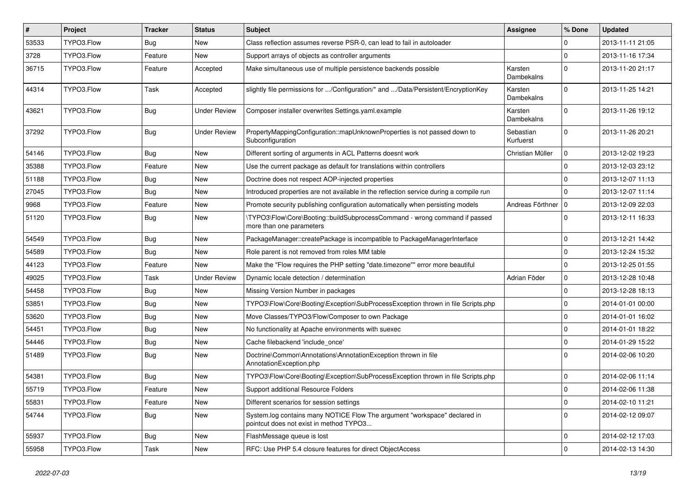| #     | Project    | <b>Tracker</b> | <b>Status</b>       | <b>Subject</b>                                                                                                       | Assignee               | % Done      | <b>Updated</b>   |
|-------|------------|----------------|---------------------|----------------------------------------------------------------------------------------------------------------------|------------------------|-------------|------------------|
| 53533 | TYPO3.Flow | Bug            | New                 | Class reflection assumes reverse PSR-0, can lead to fail in autoloader                                               |                        | 0           | 2013-11-11 21:05 |
| 3728  | TYPO3.Flow | Feature        | New                 | Support arrays of objects as controller arguments                                                                    |                        | $\mathbf 0$ | 2013-11-16 17:34 |
| 36715 | TYPO3.Flow | Feature        | Accepted            | Make simultaneous use of multiple persistence backends possible                                                      | Karsten<br>Dambekalns  | $\mathbf 0$ | 2013-11-20 21:17 |
| 44314 | TYPO3.Flow | Task           | Accepted            | slightly file permissions for /Configuration/* and /Data/Persistent/EncryptionKey                                    | Karsten<br>Dambekalns  | $\Omega$    | 2013-11-25 14:21 |
| 43621 | TYPO3.Flow | <b>Bug</b>     | <b>Under Review</b> | Composer installer overwrites Settings.yaml.example                                                                  | Karsten<br>Dambekalns  | $\Omega$    | 2013-11-26 19:12 |
| 37292 | TYPO3.Flow | <b>Bug</b>     | <b>Under Review</b> | PropertyMappingConfiguration::mapUnknownProperties is not passed down to<br>Subconfiguration                         | Sebastian<br>Kurfuerst | $\Omega$    | 2013-11-26 20:21 |
| 54146 | TYPO3.Flow | Bug            | New                 | Different sorting of arguments in ACL Patterns doesnt work                                                           | Christian Müller       | $\mathbf 0$ | 2013-12-02 19:23 |
| 35388 | TYPO3.Flow | Feature        | New                 | Use the current package as default for translations within controllers                                               |                        | $\Omega$    | 2013-12-03 23:12 |
| 51188 | TYPO3.Flow | Bug            | New                 | Doctrine does not respect AOP-injected properties                                                                    |                        | $\Omega$    | 2013-12-07 11:13 |
| 27045 | TYPO3.Flow | <b>Bug</b>     | New                 | Introduced properties are not available in the reflection service during a compile run                               |                        | 0           | 2013-12-07 11:14 |
| 9968  | TYPO3.Flow | Feature        | <b>New</b>          | Promote security publishing configuration automatically when persisting models                                       | Andreas Förthner       | $\Omega$    | 2013-12-09 22:03 |
| 51120 | TYPO3.Flow | Bug            | New                 | \TYPO3\Flow\Core\Booting::buildSubprocessCommand - wrong command if passed<br>more than one parameters               |                        | $\Omega$    | 2013-12-11 16:33 |
| 54549 | TYPO3.Flow | <b>Bug</b>     | New                 | PackageManager::createPackage is incompatible to PackageManagerInterface                                             |                        | $\mathbf 0$ | 2013-12-21 14:42 |
| 54589 | TYPO3.Flow | Bug            | New                 | Role parent is not removed from roles MM table                                                                       |                        | 0           | 2013-12-24 15:32 |
| 44123 | TYPO3.Flow | Feature        | New                 | Make the "Flow requires the PHP setting "date.timezone"" error more beautiful                                        |                        | $\mathbf 0$ | 2013-12-25 01:55 |
| 49025 | TYPO3.Flow | Task           | <b>Under Review</b> | Dynamic locale detection / determination                                                                             | Adrian Föder           | 0           | 2013-12-28 10:48 |
| 54458 | TYPO3.Flow | <b>Bug</b>     | New                 | Missing Version Number in packages                                                                                   |                        | $\mathbf 0$ | 2013-12-28 18:13 |
| 53851 | TYPO3.Flow | <b>Bug</b>     | New                 | TYPO3\Flow\Core\Booting\Exception\SubProcessException thrown in file Scripts.php                                     |                        | $\mathbf 0$ | 2014-01-01 00:00 |
| 53620 | TYPO3.Flow | <b>Bug</b>     | New                 | Move Classes/TYPO3/Flow/Composer to own Package                                                                      |                        | 0           | 2014-01-01 16:02 |
| 54451 | TYPO3.Flow | <b>Bug</b>     | New                 | No functionality at Apache environments with suexec                                                                  |                        | $\mathbf 0$ | 2014-01-01 18:22 |
| 54446 | TYPO3.Flow | <b>Bug</b>     | New                 | Cache filebackend 'include_once'                                                                                     |                        | $\mathbf 0$ | 2014-01-29 15:22 |
| 51489 | TYPO3.Flow | <b>Bug</b>     | New                 | Doctrine\Common\Annotations\AnnotationException thrown in file<br>AnnotationException.php                            |                        | 0           | 2014-02-06 10:20 |
| 54381 | TYPO3.Flow | <b>Bug</b>     | New                 | TYPO3\Flow\Core\Booting\Exception\SubProcessException thrown in file Scripts.php                                     |                        | 0           | 2014-02-06 11:14 |
| 55719 | TYPO3.Flow | Feature        | New                 | Support additional Resource Folders                                                                                  |                        | $\Omega$    | 2014-02-06 11:38 |
| 55831 | TYPO3.Flow | Feature        | New                 | Different scenarios for session settings                                                                             |                        | 0           | 2014-02-10 11:21 |
| 54744 | TYPO3.Flow | <b>Bug</b>     | New                 | System.log contains many NOTICE Flow The argument "workspace" declared in<br>pointcut does not exist in method TYPO3 |                        | $\mathbf 0$ | 2014-02-12 09:07 |
| 55937 | TYPO3.Flow | Bug            | New                 | FlashMessage queue is lost                                                                                           |                        | $\mathbf 0$ | 2014-02-12 17:03 |
| 55958 | TYPO3.Flow | Task           | New                 | RFC: Use PHP 5.4 closure features for direct ObjectAccess                                                            |                        | 0           | 2014-02-13 14:30 |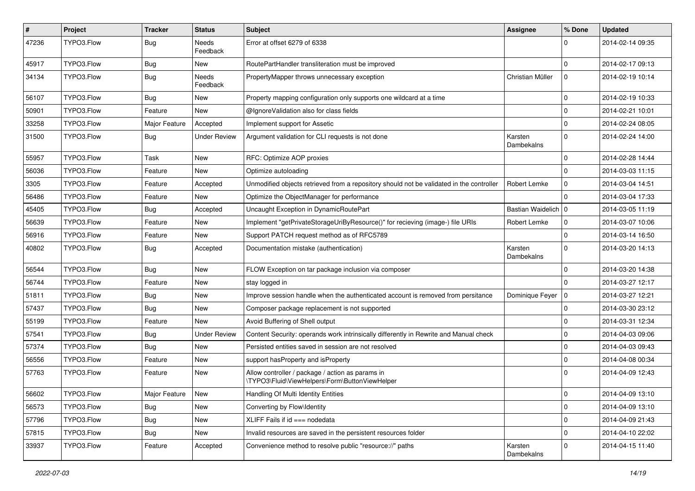| $\pmb{\#}$ | <b>Project</b> | <b>Tracker</b> | <b>Status</b>       | <b>Subject</b>                                                                                     | Assignee              | % Done       | <b>Updated</b>   |
|------------|----------------|----------------|---------------------|----------------------------------------------------------------------------------------------------|-----------------------|--------------|------------------|
| 47236      | TYPO3.Flow     | <b>Bug</b>     | Needs<br>Feedback   | Error at offset 6279 of 6338                                                                       |                       | $\Omega$     | 2014-02-14 09:35 |
| 45917      | TYPO3.Flow     | Bug            | New                 | RoutePartHandler transliteration must be improved                                                  |                       | 0            | 2014-02-17 09:13 |
| 34134      | TYPO3.Flow     | <b>Bug</b>     | Needs<br>Feedback   | PropertyMapper throws unnecessary exception                                                        | Christian Müller      | $\mathbf 0$  | 2014-02-19 10:14 |
| 56107      | TYPO3.Flow     | <b>Bug</b>     | New                 | Property mapping configuration only supports one wildcard at a time                                |                       | $\mathbf 0$  | 2014-02-19 10:33 |
| 50901      | TYPO3.Flow     | Feature        | New                 | @IgnoreValidation also for class fields                                                            |                       | $\mathbf{0}$ | 2014-02-21 10:01 |
| 33258      | TYPO3.Flow     | Major Feature  | Accepted            | Implement support for Assetic                                                                      |                       | $\mathbf 0$  | 2014-02-24 08:05 |
| 31500      | TYPO3.Flow     | <b>Bug</b>     | <b>Under Review</b> | Argument validation for CLI requests is not done                                                   | Karsten<br>Dambekalns | $\Omega$     | 2014-02-24 14:00 |
| 55957      | TYPO3.Flow     | Task           | New                 | RFC: Optimize AOP proxies                                                                          |                       | $\mathbf 0$  | 2014-02-28 14:44 |
| 56036      | TYPO3.Flow     | Feature        | New                 | Optimize autoloading                                                                               |                       | $\Omega$     | 2014-03-03 11:15 |
| 3305       | TYPO3.Flow     | Feature        | Accepted            | Unmodified objects retrieved from a repository should not be validated in the controller           | Robert Lemke          | $\mathbf 0$  | 2014-03-04 14:51 |
| 56486      | TYPO3.Flow     | Feature        | New                 | Optimize the ObjectManager for performance                                                         |                       | $\Omega$     | 2014-03-04 17:33 |
| 45405      | TYPO3.Flow     | <b>Bug</b>     | Accepted            | Uncaught Exception in DynamicRoutePart                                                             | Bastian Waidelich   0 |              | 2014-03-05 11:19 |
| 56639      | TYPO3.Flow     | Feature        | New                 | Implement "getPrivateStorageUriByResource()" for recieving (image-) file URIs                      | Robert Lemke          | $\mathbf 0$  | 2014-03-07 10:06 |
| 56916      | TYPO3.Flow     | Feature        | New                 | Support PATCH request method as of RFC5789                                                         |                       | $\Omega$     | 2014-03-14 16:50 |
| 40802      | TYPO3.Flow     | <b>Bug</b>     | Accepted            | Documentation mistake (authentication)                                                             | Karsten<br>Dambekalns | $\Omega$     | 2014-03-20 14:13 |
| 56544      | TYPO3.Flow     | <b>Bug</b>     | New                 | FLOW Exception on tar package inclusion via composer                                               |                       | $\mathbf 0$  | 2014-03-20 14:38 |
| 56744      | TYPO3.Flow     | Feature        | New                 | stay logged in                                                                                     |                       | $\Omega$     | 2014-03-27 12:17 |
| 51811      | TYPO3.Flow     | <b>Bug</b>     | New                 | Improve session handle when the authenticated account is removed from persitance                   | Dominique Feyer       | 0            | 2014-03-27 12:21 |
| 57437      | TYPO3.Flow     | <b>Bug</b>     | <b>New</b>          | Composer package replacement is not supported                                                      |                       | $\mathbf 0$  | 2014-03-30 23:12 |
| 55199      | TYPO3.Flow     | Feature        | New                 | Avoid Buffering of Shell output                                                                    |                       | 0            | 2014-03-31 12:34 |
| 57541      | TYPO3.Flow     | <b>Bug</b>     | <b>Under Review</b> | Content Security: operands work intrinsically differently in Rewrite and Manual check              |                       | $\mathbf{0}$ | 2014-04-03 09:06 |
| 57374      | TYPO3.Flow     | <b>Bug</b>     | New                 | Persisted entities saved in session are not resolved                                               |                       | $\Omega$     | 2014-04-03 09:43 |
| 56556      | TYPO3.Flow     | Feature        | New                 | support has Property and is Property                                                               |                       | $\mathbf 0$  | 2014-04-08 00:34 |
| 57763      | TYPO3.Flow     | Feature        | New                 | Allow controller / package / action as params in<br>\TYPO3\Fluid\ViewHelpers\Form\ButtonViewHelper |                       | $\Omega$     | 2014-04-09 12:43 |
| 56602      | TYPO3.Flow     | Major Feature  | New                 | Handling Of Multi Identity Entities                                                                |                       | $\mathbf{0}$ | 2014-04-09 13:10 |
| 56573      | TYPO3.Flow     | <b>Bug</b>     | New                 | Converting by Flow\Identity                                                                        |                       | $\mathbf 0$  | 2014-04-09 13:10 |
| 57796      | TYPO3.Flow     | <b>Bug</b>     | New                 | XLIFF Fails if id === nodedata                                                                     |                       | $\mathbf 0$  | 2014-04-09 21:43 |
| 57815      | TYPO3.Flow     | Bug            | New                 | Invalid resources are saved in the persistent resources folder                                     |                       | $\mathbf 0$  | 2014-04-10 22:02 |
| 33937      | TYPO3.Flow     | Feature        | Accepted            | Convenience method to resolve public "resource://" paths                                           | Karsten<br>Dambekalns | $\mathbf 0$  | 2014-04-15 11:40 |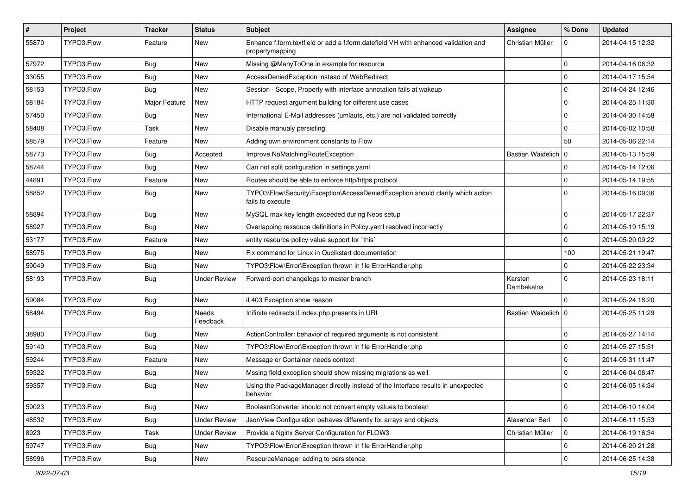| $\pmb{\#}$ | Project    | <b>Tracker</b> | <b>Status</b>       | <b>Subject</b>                                                                                        | <b>Assignee</b>       | % Done      | <b>Updated</b>   |
|------------|------------|----------------|---------------------|-------------------------------------------------------------------------------------------------------|-----------------------|-------------|------------------|
| 55870      | TYPO3.Flow | Feature        | New                 | Enhance f:form.textfield or add a f:form.datefield VH with enhanced validation and<br>propertymapping | Christian Müller      | 0           | 2014-04-15 12:32 |
| 57972      | TYPO3.Flow | <b>Bug</b>     | New                 | Missing @ManyToOne in example for resource                                                            |                       | $\mathbf 0$ | 2014-04-16 06:32 |
| 33055      | TYPO3.Flow | <b>Bug</b>     | New                 | AccessDeniedException instead of WebRedirect                                                          |                       | $\mathbf 0$ | 2014-04-17 15:54 |
| 58153      | TYPO3.Flow | <b>Bug</b>     | New                 | Session - Scope, Property with interface annotation fails at wakeup                                   |                       | $\mathbf 0$ | 2014-04-24 12:46 |
| 58184      | TYPO3.Flow | Major Feature  | New                 | HTTP request argument building for different use cases                                                |                       | $\mathbf 0$ | 2014-04-25 11:30 |
| 57450      | TYPO3.Flow | <b>Bug</b>     | New                 | International E-Mail addresses (umlauts, etc.) are not validated correctly                            |                       | $\mathbf 0$ | 2014-04-30 14:58 |
| 58408      | TYPO3.Flow | Task           | New                 | Disable manualy persisting                                                                            |                       | $\mathbf 0$ | 2014-05-02 10:58 |
| 58579      | TYPO3.Flow | Feature        | New                 | Adding own environment constants to Flow                                                              |                       | 50          | 2014-05-06 22:14 |
| 58773      | TYPO3.Flow | <b>Bug</b>     | Accepted            | Improve NoMatchingRouteException                                                                      | Bastian Waidelich   0 |             | 2014-05-13 15:59 |
| 58744      | TYPO3.Flow | Bug            | New                 | Can not split configuration in settings.yaml                                                          |                       | $\mathbf 0$ | 2014-05-14 12:06 |
| 44891      | TYPO3.Flow | Feature        | New                 | Routes should be able to enforce http/https protocol                                                  |                       | $\mathbf 0$ | 2014-05-14 19:55 |
| 58852      | TYPO3.Flow | <b>Bug</b>     | New                 | TYPO3\Flow\Security\Exception\AccessDeniedException should clarify which action<br>fails to execute   |                       | $\Omega$    | 2014-05-16 09:36 |
| 58894      | TYPO3.Flow | <b>Bug</b>     | New                 | MySQL max key length exceeded during Neos setup                                                       |                       | $\mathbf 0$ | 2014-05-17 22:37 |
| 58927      | TYPO3.Flow | <b>Bug</b>     | New                 | Overlapping ressouce definitions in Policy.yaml resolved incorrectly                                  |                       | $\mathbf 0$ | 2014-05-19 15:19 |
| 53177      | TYPO3.Flow | Feature        | New                 | entity resource policy value support for `this`                                                       |                       | $\mathbf 0$ | 2014-05-20 09:22 |
| 58975      | TYPO3.Flow | <b>Bug</b>     | New                 | Fix command for Linux in Qucikstart documentation                                                     |                       | 100         | 2014-05-21 19:47 |
| 59049      | TYPO3.Flow | <b>Bug</b>     | New                 | TYPO3\Flow\Error\Exception thrown in file ErrorHandler.php                                            |                       | $\mathbf 0$ | 2014-05-22 23:34 |
| 58193      | TYPO3.Flow | <b>Bug</b>     | <b>Under Review</b> | Forward-port changelogs to master branch                                                              | Karsten<br>Dambekalns | $\Omega$    | 2014-05-23 18:11 |
| 59084      | TYPO3.Flow | <b>Bug</b>     | New                 | if 403 Exception show reason                                                                          |                       | $\Omega$    | 2014-05-24 18:20 |
| 58494      | TYPO3.Flow | <b>Bug</b>     | Needs<br>Feedback   | Inifinite redirects if index.php presents in URI                                                      | Bastian Waidelich   0 |             | 2014-05-25 11:29 |
| 38980      | TYPO3.Flow | <b>Bug</b>     | New                 | ActionController: behavior of required arguments is not consistent                                    |                       | $\mathbf 0$ | 2014-05-27 14:14 |
| 59140      | TYPO3.Flow | <b>Bug</b>     | New                 | TYPO3\Flow\Error\Exception thrown in file ErrorHandler.php                                            |                       | $\mathbf 0$ | 2014-05-27 15:51 |
| 59244      | TYPO3.Flow | Feature        | New                 | Message or Container needs context                                                                    |                       | $\mathbf 0$ | 2014-05-31 11:47 |
| 59322      | TYPO3.Flow | <b>Bug</b>     | New                 | Mssing field exception should show missing migrations as well                                         |                       | $\mathbf 0$ | 2014-06-04 06:47 |
| 59357      | TYPO3.Flow | <b>Bug</b>     | New                 | Using the PackageManager directly instead of the Interface results in unexpected<br>behavior          |                       | $\Omega$    | 2014-06-05 14:34 |
| 59023      | TYPO3.Flow | <b>Bug</b>     | New                 | BooleanConverter should not convert empty values to boolean                                           |                       | $\mathbf 0$ | 2014-06-10 14:04 |
| 48532      | TYPO3.Flow | <b>Bug</b>     | <b>Under Review</b> | JsonView Configuration behaves differently for arrays and objects                                     | Alexander Berl        | $\mathbf 0$ | 2014-06-11 15:53 |
| 8923       | TYPO3.Flow | Task           | <b>Under Review</b> | Provide a Nginx Server Configuration for FLOW3                                                        | Christian Müller      | $\mathbf 0$ | 2014-06-19 16:34 |
| 59747      | TYPO3.Flow | <b>Bug</b>     | New                 | TYPO3\Flow\Error\Exception thrown in file ErrorHandler.php                                            |                       | $\mathbf 0$ | 2014-06-20 21:28 |
| 58996      | TYPO3.Flow | Bug            | New                 | ResourceManager adding to persistence                                                                 |                       | $\mathbf 0$ | 2014-06-25 14:38 |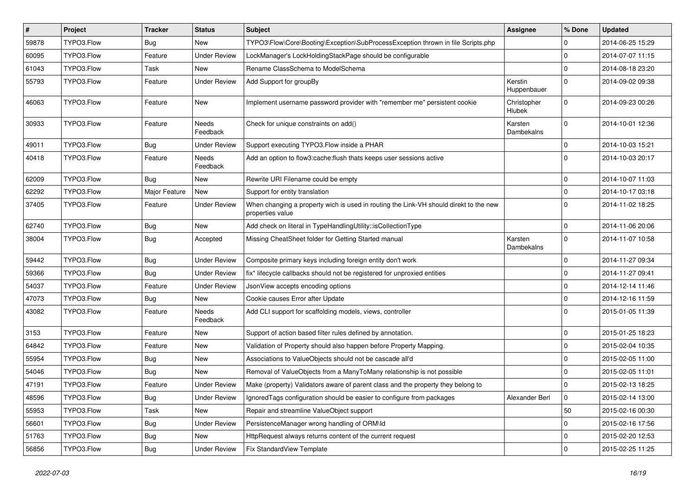| $\vert$ # | Project    | <b>Tracker</b> | <b>Status</b>            | <b>Subject</b>                                                                                            | <b>Assignee</b>        | % Done       | <b>Updated</b>   |
|-----------|------------|----------------|--------------------------|-----------------------------------------------------------------------------------------------------------|------------------------|--------------|------------------|
| 59878     | TYPO3.Flow | Bug            | New                      | TYPO3\Flow\Core\Booting\Exception\SubProcessException thrown in file Scripts.php                          |                        | 0            | 2014-06-25 15:29 |
| 60095     | TYPO3.Flow | Feature        | <b>Under Review</b>      | LockManager's LockHoldingStackPage should be configurable                                                 |                        | 0            | 2014-07-07 11:15 |
| 61043     | TYPO3.Flow | Task           | New                      | Rename ClassSchema to ModelSchema                                                                         |                        | $\mathbf 0$  | 2014-08-18 23:20 |
| 55793     | TYPO3.Flow | Feature        | <b>Under Review</b>      | Add Support for groupBy                                                                                   | Kerstin<br>Huppenbauer | $\mathbf 0$  | 2014-09-02 09:38 |
| 46063     | TYPO3.Flow | Feature        | New                      | Implement username password provider with "remember me" persistent cookie                                 | Christopher<br>Hlubek  | 0            | 2014-09-23 00:26 |
| 30933     | TYPO3.Flow | Feature        | <b>Needs</b><br>Feedback | Check for unique constraints on add()                                                                     | Karsten<br>Dambekalns  | $\mathbf 0$  | 2014-10-01 12:36 |
| 49011     | TYPO3.Flow | Bug            | <b>Under Review</b>      | Support executing TYPO3.Flow inside a PHAR                                                                |                        | $\mathbf{0}$ | 2014-10-03 15:21 |
| 40418     | TYPO3.Flow | Feature        | Needs<br>Feedback        | Add an option to flow3:cache:flush thats keeps user sessions active                                       |                        | $\Omega$     | 2014-10-03 20:17 |
| 62009     | TYPO3.Flow | <b>Bug</b>     | New                      | Rewrite URI Filename could be empty                                                                       |                        | 0            | 2014-10-07 11:03 |
| 62292     | TYPO3.Flow | Major Feature  | New                      | Support for entity translation                                                                            |                        | 0            | 2014-10-17 03:18 |
| 37405     | TYPO3.Flow | Feature        | <b>Under Review</b>      | When changing a property wich is used in routing the Link-VH should direkt to the new<br>properties value |                        | $\Omega$     | 2014-11-02 18:25 |
| 62740     | TYPO3.Flow | <b>Bug</b>     | New                      | Add check on literal in TypeHandlingUtility::isCollectionType                                             |                        | 0            | 2014-11-06 20:06 |
| 38004     | TYPO3.Flow | <b>Bug</b>     | Accepted                 | Missing CheatSheet folder for Getting Started manual                                                      | Karsten<br>Dambekalns  | $\Omega$     | 2014-11-07 10:58 |
| 59442     | TYPO3.Flow | <b>Bug</b>     | <b>Under Review</b>      | Composite primary keys including foreign entity don't work                                                |                        | 0            | 2014-11-27 09:34 |
| 59366     | TYPO3.Flow | <b>Bug</b>     | <b>Under Review</b>      | fix* lifecycle callbacks should not be registered for unproxied entities                                  |                        | $\mathbf 0$  | 2014-11-27 09:41 |
| 54037     | TYPO3.Flow | Feature        | <b>Under Review</b>      | JsonView accepts encoding options                                                                         |                        | $\mathbf 0$  | 2014-12-14 11:46 |
| 47073     | TYPO3.Flow | Bug            | New                      | Cookie causes Error after Update                                                                          |                        | $\mathbf 0$  | 2014-12-16 11:59 |
| 43082     | TYPO3.Flow | Feature        | Needs<br>Feedback        | Add CLI support for scaffolding models, views, controller                                                 |                        | 0            | 2015-01-05 11:39 |
| 3153      | TYPO3.Flow | Feature        | New                      | Support of action based filter rules defined by annotation.                                               |                        | $\mathbf 0$  | 2015-01-25 18:23 |
| 64842     | TYPO3.Flow | Feature        | New                      | Validation of Property should also happen before Property Mapping.                                        |                        | 0            | 2015-02-04 10:35 |
| 55954     | TYPO3.Flow | <b>Bug</b>     | New                      | Associations to ValueObjects should not be cascade all'd                                                  |                        | 0            | 2015-02-05 11:00 |
| 54046     | TYPO3.Flow | <b>Bug</b>     | <b>New</b>               | Removal of ValueObjects from a ManyToMany relationship is not possible                                    |                        | 0            | 2015-02-05 11:01 |
| 47191     | TYPO3.Flow | Feature        | <b>Under Review</b>      | Make (property) Validators aware of parent class and the property they belong to                          |                        | 0            | 2015-02-13 18:25 |
| 48596     | TYPO3.Flow | <b>Bug</b>     | <b>Under Review</b>      | IgnoredTags configuration should be easier to configure from packages                                     | Alexander Berl         | 0            | 2015-02-14 13:00 |
| 55953     | TYPO3.Flow | Task           | New                      | Repair and streamline ValueObject support                                                                 |                        | 50           | 2015-02-16 00:30 |
| 56601     | TYPO3.Flow | <b>Bug</b>     | <b>Under Review</b>      | PersistenceManager wrong handling of ORM\ld                                                               |                        | $\mathbf 0$  | 2015-02-16 17:56 |
| 51763     | TYPO3.Flow | <b>Bug</b>     | New                      | HttpRequest always returns content of the current request                                                 |                        | $\mathbf 0$  | 2015-02-20 12:53 |
| 56856     | TYPO3.Flow | <b>Bug</b>     | <b>Under Review</b>      | Fix StandardView Template                                                                                 |                        | $\pmb{0}$    | 2015-02-25 11:25 |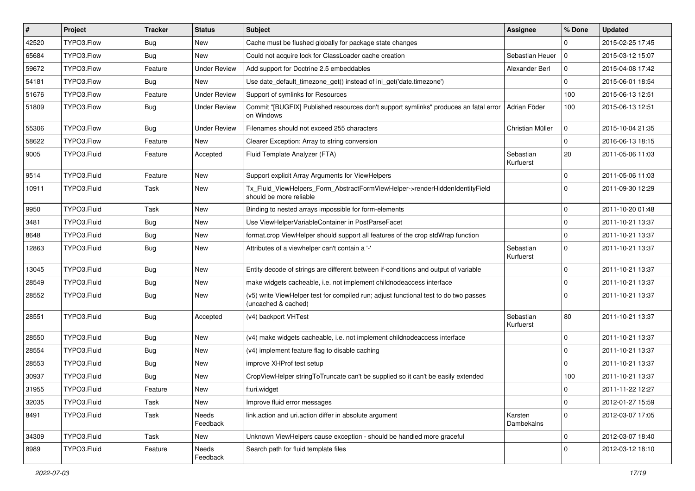| $\vert$ # | Project     | <b>Tracker</b> | <b>Status</b>       | Subject                                                                                                     | <b>Assignee</b>        | % Done       | <b>Updated</b>   |
|-----------|-------------|----------------|---------------------|-------------------------------------------------------------------------------------------------------------|------------------------|--------------|------------------|
| 42520     | TYPO3.Flow  | <b>Bug</b>     | New                 | Cache must be flushed globally for package state changes                                                    |                        | 0            | 2015-02-25 17:45 |
| 65684     | TYPO3.Flow  | Bug            | <b>New</b>          | Could not acquire lock for ClassLoader cache creation                                                       | Sebastian Heuer        | $\mathbf 0$  | 2015-03-12 15:07 |
| 59672     | TYPO3.Flow  | Feature        | <b>Under Review</b> | Add support for Doctrine 2.5 embeddables                                                                    | Alexander Berl         | $\mathbf 0$  | 2015-04-08 17:42 |
| 54181     | TYPO3.Flow  | <b>Bug</b>     | New                 | Use date_default_timezone_get() instead of ini_get('date.timezone')                                         |                        | $\mathbf 0$  | 2015-06-01 18:54 |
| 51676     | TYPO3.Flow  | Feature        | <b>Under Review</b> | Support of symlinks for Resources                                                                           |                        | 100          | 2015-06-13 12:51 |
| 51809     | TYPO3.Flow  | Bug            | <b>Under Review</b> | Commit "[BUGFIX] Published resources don't support symlinks" produces an fatal error<br>on Windows          | Adrian Föder           | 100          | 2015-06-13 12:51 |
| 55306     | TYPO3.Flow  | Bug            | <b>Under Review</b> | Filenames should not exceed 255 characters                                                                  | Christian Müller       | $\mathbf 0$  | 2015-10-04 21:35 |
| 58622     | TYPO3.Flow  | Feature        | New                 | Clearer Exception: Array to string conversion                                                               |                        | $\mathbf 0$  | 2016-06-13 18:15 |
| 9005      | TYPO3.Fluid | Feature        | Accepted            | Fluid Template Analyzer (FTA)                                                                               | Sebastian<br>Kurfuerst | 20           | 2011-05-06 11:03 |
| 9514      | TYPO3.Fluid | Feature        | New                 | Support explicit Array Arguments for ViewHelpers                                                            |                        | $\mathbf 0$  | 2011-05-06 11:03 |
| 10911     | TYPO3.Fluid | Task           | New                 | Tx Fluid ViewHelpers Form AbstractFormViewHelper->renderHiddenIdentityField<br>should be more reliable      |                        | $\Omega$     | 2011-09-30 12:29 |
| 9950      | TYPO3.Fluid | Task           | <b>New</b>          | Binding to nested arrays impossible for form-elements                                                       |                        | $\mathbf 0$  | 2011-10-20 01:48 |
| 3481      | TYPO3.Fluid | <b>Bug</b>     | New                 | Use ViewHelperVariableContainer in PostParseFacet                                                           |                        | 0            | 2011-10-21 13:37 |
| 8648      | TYPO3.Fluid | <b>Bug</b>     | New                 | format.crop ViewHelper should support all features of the crop stdWrap function                             |                        | $\mathbf 0$  | 2011-10-21 13:37 |
| 12863     | TYPO3.Fluid | <b>Bug</b>     | New                 | Attributes of a viewhelper can't contain a '-'                                                              | Sebastian<br>Kurfuerst | $\Omega$     | 2011-10-21 13:37 |
| 13045     | TYPO3.Fluid | <b>Bug</b>     | New                 | Entity decode of strings are different between if-conditions and output of variable                         |                        | $\mathbf 0$  | 2011-10-21 13:37 |
| 28549     | TYPO3.Fluid | <b>Bug</b>     | New                 | make widgets cacheable, i.e. not implement childnodeaccess interface                                        |                        | $\mathbf 0$  | 2011-10-21 13:37 |
| 28552     | TYPO3.Fluid | Bug            | New                 | (v5) write ViewHelper test for compiled run; adjust functional test to do two passes<br>(uncached & cached) |                        | $\Omega$     | 2011-10-21 13:37 |
| 28551     | TYPO3.Fluid | <b>Bug</b>     | Accepted            | (v4) backport VHTest                                                                                        | Sebastian<br>Kurfuerst | 80           | 2011-10-21 13:37 |
| 28550     | TYPO3.Fluid | <b>Bug</b>     | New                 | (v4) make widgets cacheable, i.e. not implement childnodeaccess interface                                   |                        | $\mathbf 0$  | 2011-10-21 13:37 |
| 28554     | TYPO3.Fluid | <b>Bug</b>     | New                 | (v4) implement feature flag to disable caching                                                              |                        | 0            | 2011-10-21 13:37 |
| 28553     | TYPO3.Fluid | <b>Bug</b>     | New                 | improve XHProf test setup                                                                                   |                        | $\mathbf 0$  | 2011-10-21 13:37 |
| 30937     | TYPO3.Fluid | <b>Bug</b>     | New                 | CropViewHelper stringToTruncate can't be supplied so it can't be easily extended                            |                        | 100          | 2011-10-21 13:37 |
| 31955     | TYPO3.Fluid | Feature        | New                 | f:uri.widget                                                                                                |                        | $\mathbf{0}$ | 2011-11-22 12:27 |
| 32035     | TYPO3.Fluid | Task           | New                 | Improve fluid error messages                                                                                |                        | 0            | 2012-01-27 15:59 |
| 8491      | TYPO3.Fluid | Task           | Needs<br>Feedback   | link.action and uri.action differ in absolute argument                                                      | Karsten<br>Dambekalns  | $\mathbf 0$  | 2012-03-07 17:05 |
| 34309     | TYPO3.Fluid | Task           | New                 | Unknown ViewHelpers cause exception - should be handled more graceful                                       |                        | 0            | 2012-03-07 18:40 |
| 8989      | TYPO3.Fluid | Feature        | Needs<br>Feedback   | Search path for fluid template files                                                                        |                        | $\mathbf 0$  | 2012-03-12 18:10 |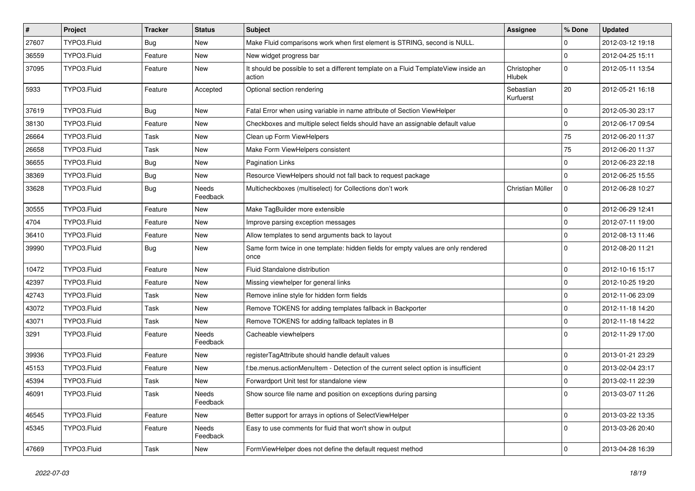| $\vert$ # | <b>Project</b> | <b>Tracker</b> | <b>Status</b>            | <b>Subject</b>                                                                                | Assignee                     | % Done       | <b>Updated</b>   |
|-----------|----------------|----------------|--------------------------|-----------------------------------------------------------------------------------------------|------------------------------|--------------|------------------|
| 27607     | TYPO3.Fluid    | <b>Bug</b>     | New                      | Make Fluid comparisons work when first element is STRING, second is NULL.                     |                              | 0            | 2012-03-12 19:18 |
| 36559     | TYPO3.Fluid    | Feature        | New                      | New widget progress bar                                                                       |                              | $\mathbf 0$  | 2012-04-25 15:11 |
| 37095     | TYPO3.Fluid    | Feature        | New                      | It should be possible to set a different template on a Fluid TemplateView inside an<br>action | Christopher<br><b>Hlubek</b> | $\mathbf 0$  | 2012-05-11 13:54 |
| 5933      | TYPO3.Fluid    | Feature        | Accepted                 | Optional section rendering                                                                    | Sebastian<br>Kurfuerst       | 20           | 2012-05-21 16:18 |
| 37619     | TYPO3.Fluid    | <b>Bug</b>     | New                      | Fatal Error when using variable in name attribute of Section ViewHelper                       |                              | $\mathbf{0}$ | 2012-05-30 23:17 |
| 38130     | TYPO3.Fluid    | Feature        | New                      | Checkboxes and multiple select fields should have an assignable default value                 |                              | $\mathbf 0$  | 2012-06-17 09:54 |
| 26664     | TYPO3.Fluid    | Task           | New                      | Clean up Form ViewHelpers                                                                     |                              | 75           | 2012-06-20 11:37 |
| 26658     | TYPO3.Fluid    | Task           | New                      | Make Form ViewHelpers consistent                                                              |                              | 75           | 2012-06-20 11:37 |
| 36655     | TYPO3.Fluid    | <b>Bug</b>     | New                      | <b>Pagination Links</b>                                                                       |                              | 0            | 2012-06-23 22:18 |
| 38369     | TYPO3.Fluid    | <b>Bug</b>     | New                      | Resource ViewHelpers should not fall back to request package                                  |                              | $\Omega$     | 2012-06-25 15:55 |
| 33628     | TYPO3.Fluid    | <b>Bug</b>     | <b>Needs</b><br>Feedback | Multicheckboxes (multiselect) for Collections don't work                                      | Christian Müller             | $\mathbf 0$  | 2012-06-28 10:27 |
| 30555     | TYPO3.Fluid    | Feature        | New                      | Make TagBuilder more extensible                                                               |                              | $\mathbf{0}$ | 2012-06-29 12:41 |
| 4704      | TYPO3.Fluid    | Feature        | New                      | Improve parsing exception messages                                                            |                              | 0            | 2012-07-11 19:00 |
| 36410     | TYPO3.Fluid    | Feature        | New                      | Allow templates to send arguments back to layout                                              |                              | $\mathbf{0}$ | 2012-08-13 11:46 |
| 39990     | TYPO3.Fluid    | <b>Bug</b>     | New                      | Same form twice in one template: hidden fields for empty values are only rendered<br>once     |                              | $\Omega$     | 2012-08-20 11:21 |
| 10472     | TYPO3.Fluid    | Feature        | New                      | Fluid Standalone distribution                                                                 |                              | $\mathbf{0}$ | 2012-10-16 15:17 |
| 42397     | TYPO3.Fluid    | Feature        | New                      | Missing viewhelper for general links                                                          |                              | $\mathbf 0$  | 2012-10-25 19:20 |
| 42743     | TYPO3.Fluid    | Task           | New                      | Remove inline style for hidden form fields                                                    |                              | $\mathbf{0}$ | 2012-11-06 23:09 |
| 43072     | TYPO3.Fluid    | Task           | New                      | Remove TOKENS for adding templates fallback in Backporter                                     |                              | $\mathbf{0}$ | 2012-11-18 14:20 |
| 43071     | TYPO3.Fluid    | Task           | New                      | Remove TOKENS for adding fallback teplates in B                                               |                              | 0            | 2012-11-18 14:22 |
| 3291      | TYPO3.Fluid    | Feature        | Needs<br>Feedback        | Cacheable viewhelpers                                                                         |                              | $\Omega$     | 2012-11-29 17:00 |
| 39936     | TYPO3.Fluid    | Feature        | New                      | registerTagAttribute should handle default values                                             |                              | $\mathbf{0}$ | 2013-01-21 23:29 |
| 45153     | TYPO3.Fluid    | Feature        | New                      | f:be.menus.actionMenuItem - Detection of the current select option is insufficient            |                              | $\mathbf 0$  | 2013-02-04 23:17 |
| 45394     | TYPO3.Fluid    | Task           | New                      | Forwardport Unit test for standalone view                                                     |                              | 0            | 2013-02-11 22:39 |
| 46091     | TYPO3.Fluid    | Task           | Needs<br>Feedback        | Show source file name and position on exceptions during parsing                               |                              | 0            | 2013-03-07 11:26 |
| 46545     | TYPO3.Fluid    | Feature        | New                      | Better support for arrays in options of SelectViewHelper                                      |                              | $\mathbf 0$  | 2013-03-22 13:35 |
| 45345     | TYPO3.Fluid    | Feature        | Needs<br>Feedback        | Easy to use comments for fluid that won't show in output                                      |                              | $\mathbf 0$  | 2013-03-26 20:40 |
| 47669     | TYPO3.Fluid    | Task           | New                      | FormViewHelper does not define the default request method                                     |                              | $\mathbf 0$  | 2013-04-28 16:39 |